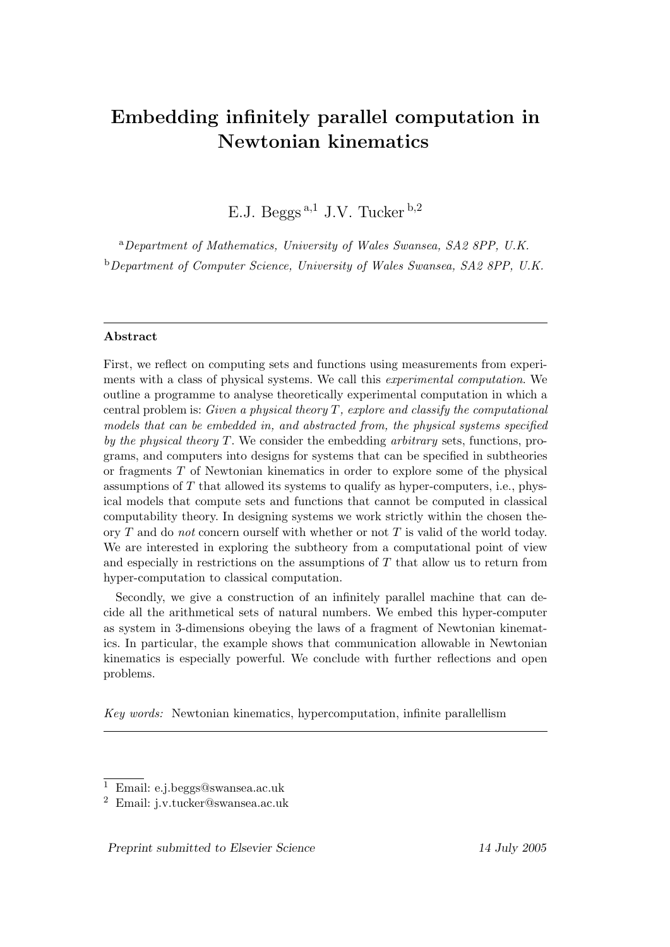# Embedding infinitely parallel computation in Newtonian kinematics

E.J. Beggs  $a,1$  J.V. Tucker  $b,2$ 

<sup>a</sup>Department of Mathematics, University of Wales Swansea, SA2 8PP, U.K.  $b$  Department of Computer Science, University of Wales Swansea, SA2 8PP, U.K.

#### Abstract

First, we reflect on computing sets and functions using measurements from experiments with a class of physical systems. We call this experimental computation. We outline a programme to analyse theoretically experimental computation in which a central problem is: Given a physical theory T, explore and classify the computational models that can be embedded in, and abstracted from, the physical systems specified by the physical theory  $T$ . We consider the embedding arbitrary sets, functions, programs, and computers into designs for systems that can be specified in subtheories or fragments T of Newtonian kinematics in order to explore some of the physical assumptions of  $T$  that allowed its systems to qualify as hyper-computers, i.e., physical models that compute sets and functions that cannot be computed in classical computability theory. In designing systems we work strictly within the chosen theory  $T$  and do not concern ourself with whether or not  $T$  is valid of the world today. We are interested in exploring the subtheory from a computational point of view and especially in restrictions on the assumptions of  $T$  that allow us to return from hyper-computation to classical computation.

Secondly, we give a construction of an infinitely parallel machine that can decide all the arithmetical sets of natural numbers. We embed this hyper-computer as system in 3-dimensions obeying the laws of a fragment of Newtonian kinematics. In particular, the example shows that communication allowable in Newtonian kinematics is especially powerful. We conclude with further reflections and open problems.

Key words: Newtonian kinematics, hypercomputation, infinite parallellism

 $\overline{1 \text{ Email: e.j.beggs@swansea.ac.uk}}$ 

<sup>2</sup> Email: j.v.tucker@swansea.ac.uk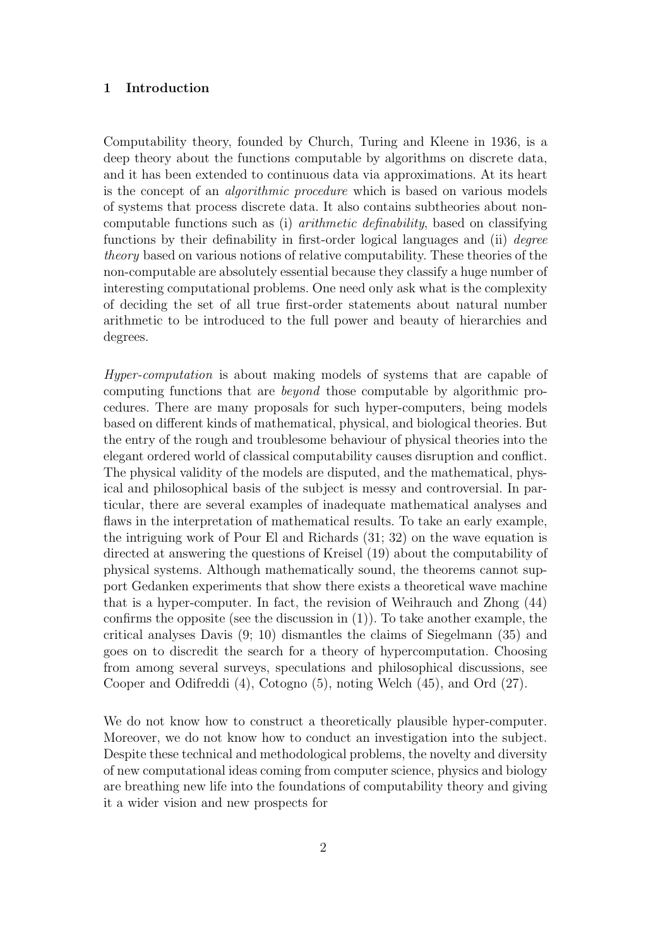#### 1 Introduction

Computability theory, founded by Church, Turing and Kleene in 1936, is a deep theory about the functions computable by algorithms on discrete data, and it has been extended to continuous data via approximations. At its heart is the concept of an algorithmic procedure which is based on various models of systems that process discrete data. It also contains subtheories about noncomputable functions such as (i) arithmetic definability, based on classifying functions by their definability in first-order logical languages and (ii) degree theory based on various notions of relative computability. These theories of the non-computable are absolutely essential because they classify a huge number of interesting computational problems. One need only ask what is the complexity of deciding the set of all true first-order statements about natural number arithmetic to be introduced to the full power and beauty of hierarchies and degrees.

Hyper-computation is about making models of systems that are capable of computing functions that are beyond those computable by algorithmic procedures. There are many proposals for such hyper-computers, being models based on different kinds of mathematical, physical, and biological theories. But the entry of the rough and troublesome behaviour of physical theories into the elegant ordered world of classical computability causes disruption and conflict. The physical validity of the models are disputed, and the mathematical, physical and philosophical basis of the subject is messy and controversial. In particular, there are several examples of inadequate mathematical analyses and flaws in the interpretation of mathematical results. To take an early example, the intriguing work of Pour El and Richards (31; 32) on the wave equation is directed at answering the questions of Kreisel (19) about the computability of physical systems. Although mathematically sound, the theorems cannot support Gedanken experiments that show there exists a theoretical wave machine that is a hyper-computer. In fact, the revision of Weihrauch and Zhong (44) confirms the opposite (see the discussion in (1)). To take another example, the critical analyses Davis (9; 10) dismantles the claims of Siegelmann (35) and goes on to discredit the search for a theory of hypercomputation. Choosing from among several surveys, speculations and philosophical discussions, see Cooper and Odifreddi (4), Cotogno (5), noting Welch (45), and Ord (27).

We do not know how to construct a theoretically plausible hyper-computer. Moreover, we do not know how to conduct an investigation into the subject. Despite these technical and methodological problems, the novelty and diversity of new computational ideas coming from computer science, physics and biology are breathing new life into the foundations of computability theory and giving it a wider vision and new prospects for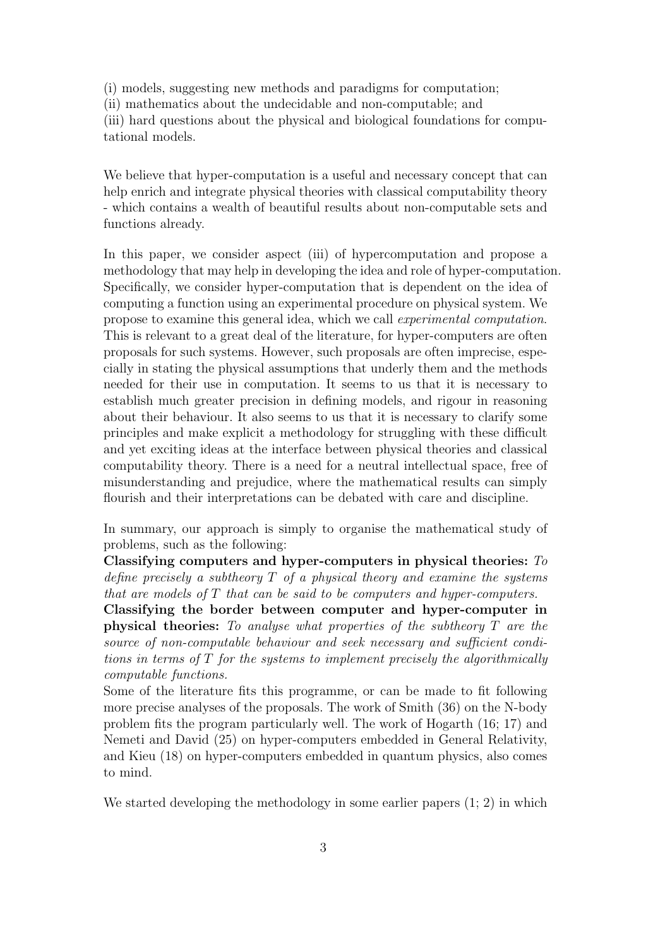(i) models, suggesting new methods and paradigms for computation;

(ii) mathematics about the undecidable and non-computable; and (iii) hard questions about the physical and biological foundations for compu-

tational models.

We believe that hyper-computation is a useful and necessary concept that can help enrich and integrate physical theories with classical computability theory - which contains a wealth of beautiful results about non-computable sets and functions already.

In this paper, we consider aspect (iii) of hypercomputation and propose a methodology that may help in developing the idea and role of hyper-computation. Specifically, we consider hyper-computation that is dependent on the idea of computing a function using an experimental procedure on physical system. We propose to examine this general idea, which we call experimental computation. This is relevant to a great deal of the literature, for hyper-computers are often proposals for such systems. However, such proposals are often imprecise, especially in stating the physical assumptions that underly them and the methods needed for their use in computation. It seems to us that it is necessary to establish much greater precision in defining models, and rigour in reasoning about their behaviour. It also seems to us that it is necessary to clarify some principles and make explicit a methodology for struggling with these difficult and yet exciting ideas at the interface between physical theories and classical computability theory. There is a need for a neutral intellectual space, free of misunderstanding and prejudice, where the mathematical results can simply flourish and their interpretations can be debated with care and discipline.

In summary, our approach is simply to organise the mathematical study of problems, such as the following:

Classifying computers and hyper-computers in physical theories: To define precisely a subtheory  $T$  of a physical theory and examine the systems that are models of T that can be said to be computers and hyper-computers.

Classifying the border between computer and hyper-computer in physical theories: To analyse what properties of the subtheory T are the source of non-computable behaviour and seek necessary and sufficient conditions in terms of T for the systems to implement precisely the algorithmically computable functions.

Some of the literature fits this programme, or can be made to fit following more precise analyses of the proposals. The work of Smith (36) on the N-body problem fits the program particularly well. The work of Hogarth (16; 17) and Nemeti and David (25) on hyper-computers embedded in General Relativity, and Kieu (18) on hyper-computers embedded in quantum physics, also comes to mind.

We started developing the methodology in some earlier papers  $(1; 2)$  in which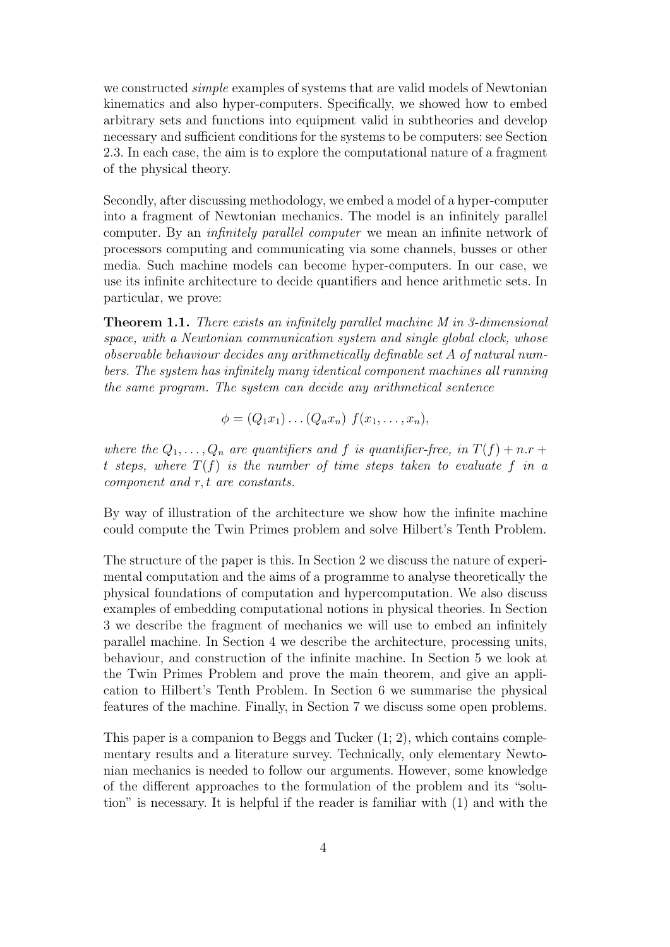we constructed *simple* examples of systems that are valid models of Newtonian kinematics and also hyper-computers. Specifically, we showed how to embed arbitrary sets and functions into equipment valid in subtheories and develop necessary and sufficient conditions for the systems to be computers: see Section 2.3. In each case, the aim is to explore the computational nature of a fragment of the physical theory.

Secondly, after discussing methodology, we embed a model of a hyper-computer into a fragment of Newtonian mechanics. The model is an infinitely parallel computer. By an infinitely parallel computer we mean an infinite network of processors computing and communicating via some channels, busses or other media. Such machine models can become hyper-computers. In our case, we use its infinite architecture to decide quantifiers and hence arithmetic sets. In particular, we prove:

Theorem 1.1. There exists an infinitely parallel machine M in 3-dimensional space, with a Newtonian communication system and single global clock, whose observable behaviour decides any arithmetically definable set A of natural numbers. The system has infinitely many identical component machines all running the same program. The system can decide any arithmetical sentence

$$
\phi=(Q_1x_1)\ldots(Q_nx_n)\ f(x_1,\ldots,x_n),
$$

where the  $Q_1, \ldots, Q_n$  are quantifiers and f is quantifier-free, in  $T(f) + n.r +$ t steps, where  $T(f)$  is the number of time steps taken to evaluate f in a component and r, t are constants.

By way of illustration of the architecture we show how the infinite machine could compute the Twin Primes problem and solve Hilbert's Tenth Problem.

The structure of the paper is this. In Section 2 we discuss the nature of experimental computation and the aims of a programme to analyse theoretically the physical foundations of computation and hypercomputation. We also discuss examples of embedding computational notions in physical theories. In Section 3 we describe the fragment of mechanics we will use to embed an infinitely parallel machine. In Section 4 we describe the architecture, processing units, behaviour, and construction of the infinite machine. In Section 5 we look at the Twin Primes Problem and prove the main theorem, and give an application to Hilbert's Tenth Problem. In Section 6 we summarise the physical features of the machine. Finally, in Section 7 we discuss some open problems.

This paper is a companion to Beggs and Tucker  $(1; 2)$ , which contains complementary results and a literature survey. Technically, only elementary Newtonian mechanics is needed to follow our arguments. However, some knowledge of the different approaches to the formulation of the problem and its "solution" is necessary. It is helpful if the reader is familiar with (1) and with the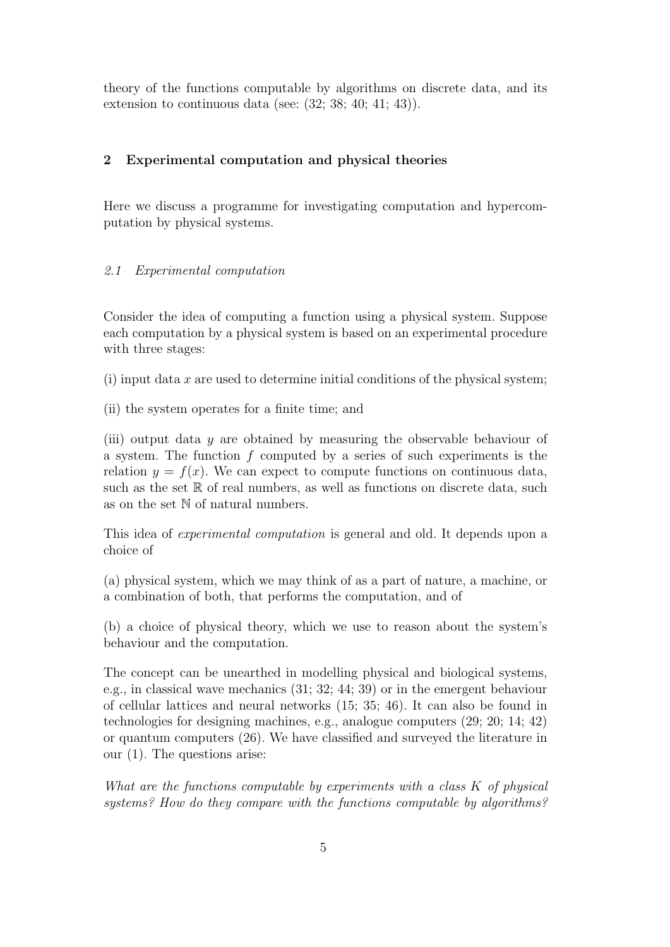theory of the functions computable by algorithms on discrete data, and its extension to continuous data (see:  $(32; 38; 40; 41; 43)$ ).

# 2 Experimental computation and physical theories

Here we discuss a programme for investigating computation and hypercomputation by physical systems.

## 2.1 Experimental computation

Consider the idea of computing a function using a physical system. Suppose each computation by a physical system is based on an experimental procedure with three stages:

(i) input data  $x$  are used to determine initial conditions of the physical system;

(ii) the system operates for a finite time; and

(iii) output data  $y$  are obtained by measuring the observable behaviour of a system. The function  $f$  computed by a series of such experiments is the relation  $y = f(x)$ . We can expect to compute functions on continuous data, such as the set  $\mathbb R$  of real numbers, as well as functions on discrete data, such as on the set N of natural numbers.

This idea of experimental computation is general and old. It depends upon a choice of

(a) physical system, which we may think of as a part of nature, a machine, or a combination of both, that performs the computation, and of

(b) a choice of physical theory, which we use to reason about the system's behaviour and the computation.

The concept can be unearthed in modelling physical and biological systems, e.g., in classical wave mechanics (31; 32; 44; 39) or in the emergent behaviour of cellular lattices and neural networks (15; 35; 46). It can also be found in technologies for designing machines, e.g., analogue computers (29; 20; 14; 42) or quantum computers (26). We have classified and surveyed the literature in our (1). The questions arise:

What are the functions computable by experiments with a class  $K$  of physical systems? How do they compare with the functions computable by algorithms?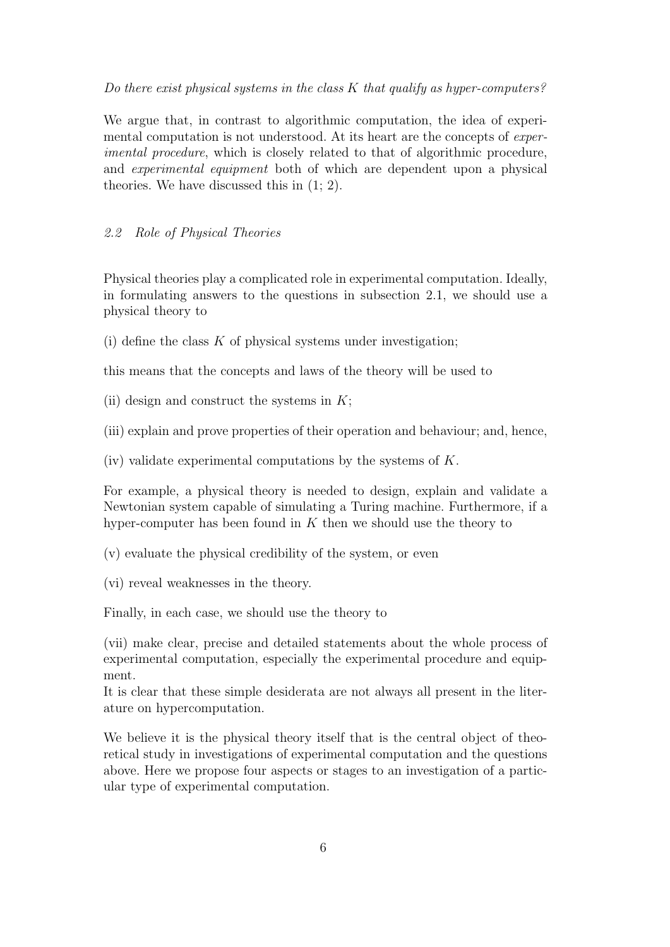#### Do there exist physical systems in the class  $K$  that qualify as hyper-computers?

We argue that, in contrast to algorithmic computation, the idea of experimental computation is not understood. At its heart are the concepts of experimental procedure, which is closely related to that of algorithmic procedure, and *experimental equipment* both of which are dependent upon a physical theories. We have discussed this in (1; 2).

#### 2.2 Role of Physical Theories

Physical theories play a complicated role in experimental computation. Ideally, in formulating answers to the questions in subsection 2.1, we should use a physical theory to

(i) define the class  $K$  of physical systems under investigation;

this means that the concepts and laws of the theory will be used to

- (ii) design and construct the systems in  $K$ ;
- (iii) explain and prove properties of their operation and behaviour; and, hence,
- (iv) validate experimental computations by the systems of  $K$ .

For example, a physical theory is needed to design, explain and validate a Newtonian system capable of simulating a Turing machine. Furthermore, if a hyper-computer has been found in  $K$  then we should use the theory to

- (v) evaluate the physical credibility of the system, or even
- (vi) reveal weaknesses in the theory.

Finally, in each case, we should use the theory to

(vii) make clear, precise and detailed statements about the whole process of experimental computation, especially the experimental procedure and equipment.

It is clear that these simple desiderata are not always all present in the literature on hypercomputation.

We believe it is the physical theory itself that is the central object of theoretical study in investigations of experimental computation and the questions above. Here we propose four aspects or stages to an investigation of a particular type of experimental computation.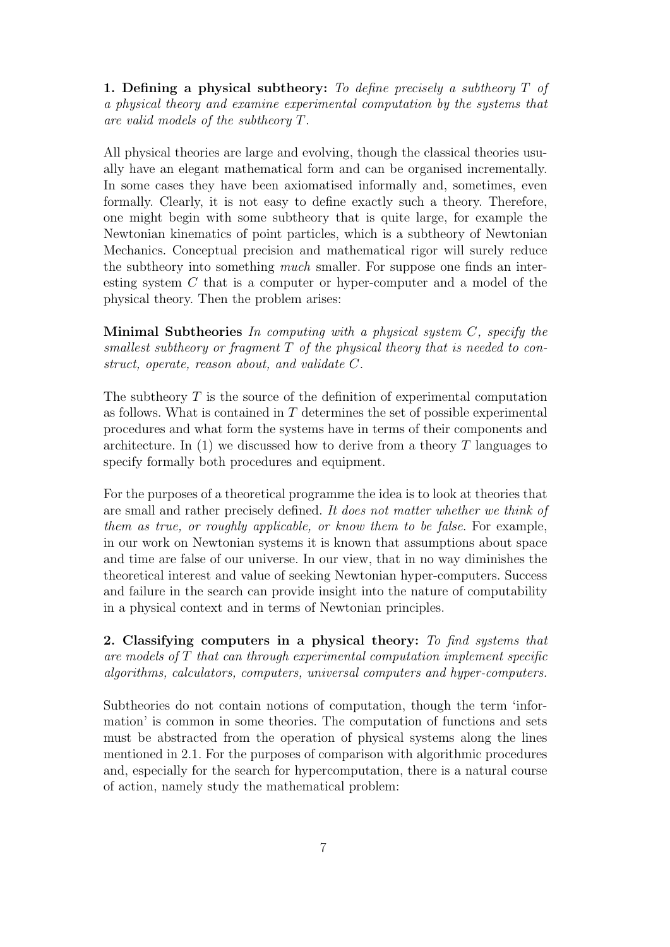1. Defining a physical subtheory: To define precisely a subtheory  $T$  of a physical theory and examine experimental computation by the systems that are valid models of the subtheory T.

All physical theories are large and evolving, though the classical theories usually have an elegant mathematical form and can be organised incrementally. In some cases they have been axiomatised informally and, sometimes, even formally. Clearly, it is not easy to define exactly such a theory. Therefore, one might begin with some subtheory that is quite large, for example the Newtonian kinematics of point particles, which is a subtheory of Newtonian Mechanics. Conceptual precision and mathematical rigor will surely reduce the subtheory into something much smaller. For suppose one finds an interesting system C that is a computer or hyper-computer and a model of the physical theory. Then the problem arises:

**Minimal Subtheories** In computing with a physical system  $C$ , specify the smallest subtheory or fragment  $T$  of the physical theory that is needed to construct, operate, reason about, and validate C.

The subtheory  $T$  is the source of the definition of experimental computation as follows. What is contained in  $T$  determines the set of possible experimental procedures and what form the systems have in terms of their components and architecture. In  $(1)$  we discussed how to derive from a theory T languages to specify formally both procedures and equipment.

For the purposes of a theoretical programme the idea is to look at theories that are small and rather precisely defined. It does not matter whether we think of them as true, or roughly applicable, or know them to be false. For example, in our work on Newtonian systems it is known that assumptions about space and time are false of our universe. In our view, that in no way diminishes the theoretical interest and value of seeking Newtonian hyper-computers. Success and failure in the search can provide insight into the nature of computability in a physical context and in terms of Newtonian principles.

2. Classifying computers in a physical theory: To find systems that are models of T that can through experimental computation implement specific algorithms, calculators, computers, universal computers and hyper-computers.

Subtheories do not contain notions of computation, though the term 'information' is common in some theories. The computation of functions and sets must be abstracted from the operation of physical systems along the lines mentioned in 2.1. For the purposes of comparison with algorithmic procedures and, especially for the search for hypercomputation, there is a natural course of action, namely study the mathematical problem: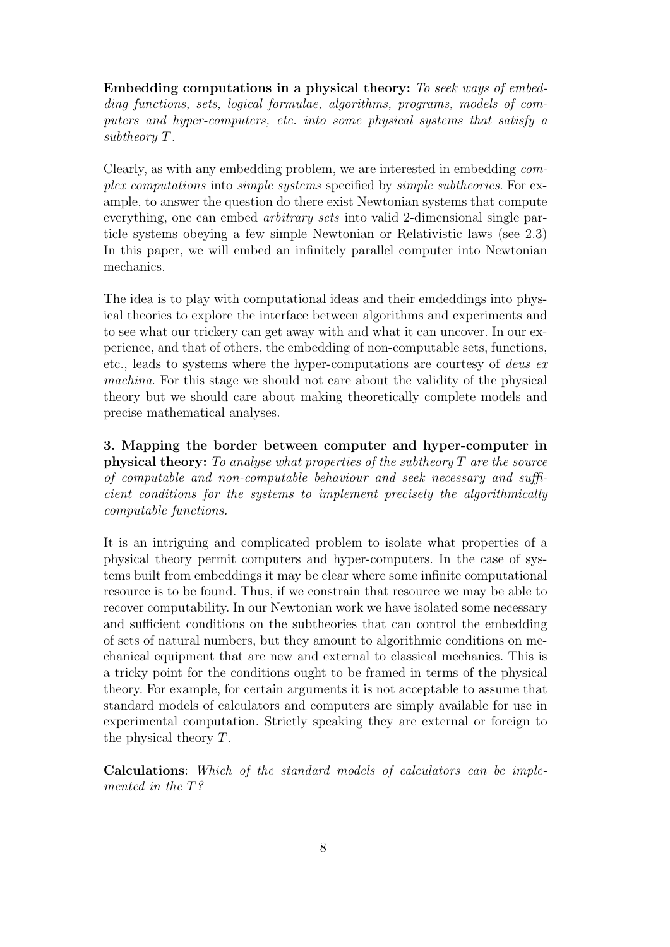Embedding computations in a physical theory: To seek ways of embedding functions, sets, logical formulae, algorithms, programs, models of computers and hyper-computers, etc. into some physical systems that satisfy a subtheory T.

Clearly, as with any embedding problem, we are interested in embedding complex computations into simple systems specified by simple subtheories. For example, to answer the question do there exist Newtonian systems that compute everything, one can embed arbitrary sets into valid 2-dimensional single particle systems obeying a few simple Newtonian or Relativistic laws (see 2.3) In this paper, we will embed an infinitely parallel computer into Newtonian mechanics.

The idea is to play with computational ideas and their emdeddings into physical theories to explore the interface between algorithms and experiments and to see what our trickery can get away with and what it can uncover. In our experience, and that of others, the embedding of non-computable sets, functions, etc., leads to systems where the hyper-computations are courtesy of deus ex machina. For this stage we should not care about the validity of the physical theory but we should care about making theoretically complete models and precise mathematical analyses.

3. Mapping the border between computer and hyper-computer in **physical theory:** To analyse what properties of the subtheory  $T$  are the source of computable and non-computable behaviour and seek necessary and sufficient conditions for the systems to implement precisely the algorithmically computable functions.

It is an intriguing and complicated problem to isolate what properties of a physical theory permit computers and hyper-computers. In the case of systems built from embeddings it may be clear where some infinite computational resource is to be found. Thus, if we constrain that resource we may be able to recover computability. In our Newtonian work we have isolated some necessary and sufficient conditions on the subtheories that can control the embedding of sets of natural numbers, but they amount to algorithmic conditions on mechanical equipment that are new and external to classical mechanics. This is a tricky point for the conditions ought to be framed in terms of the physical theory. For example, for certain arguments it is not acceptable to assume that standard models of calculators and computers are simply available for use in experimental computation. Strictly speaking they are external or foreign to the physical theory T.

Calculations: Which of the standard models of calculators can be implemented in the T?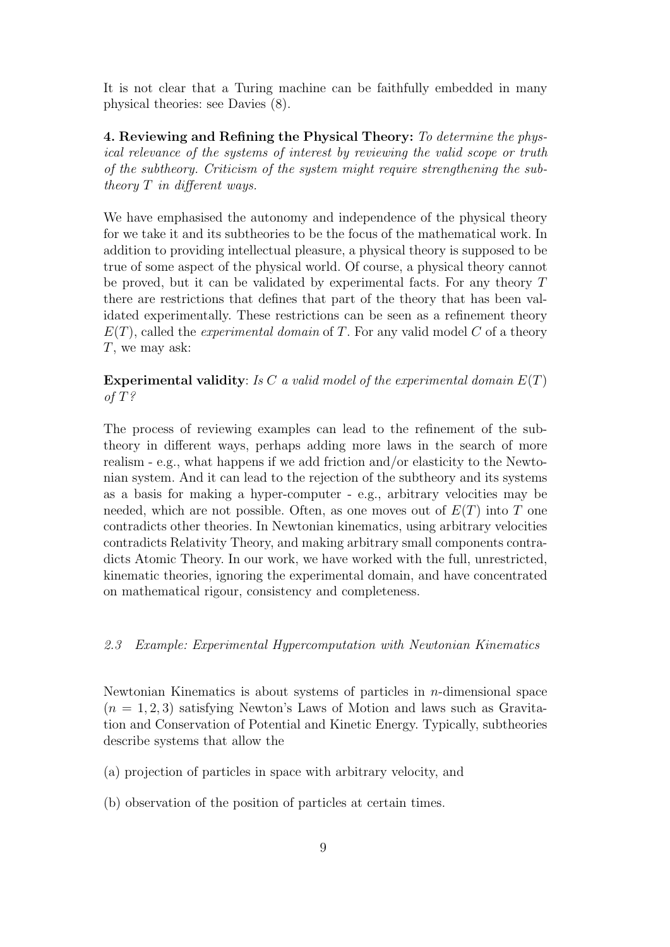It is not clear that a Turing machine can be faithfully embedded in many physical theories: see Davies (8).

4. Reviewing and Refining the Physical Theory: To determine the physical relevance of the systems of interest by reviewing the valid scope or truth of the subtheory. Criticism of the system might require strengthening the subtheory  $T$  in different ways.

We have emphasised the autonomy and independence of the physical theory for we take it and its subtheories to be the focus of the mathematical work. In addition to providing intellectual pleasure, a physical theory is supposed to be true of some aspect of the physical world. Of course, a physical theory cannot be proved, but it can be validated by experimental facts. For any theory T there are restrictions that defines that part of the theory that has been validated experimentally. These restrictions can be seen as a refinement theory  $E(T)$ , called the *experimental domain* of T. For any valid model C of a theory T, we may ask:

# **Experimental validity:** Is C a valid model of the experimental domain  $E(T)$ of T?

The process of reviewing examples can lead to the refinement of the subtheory in different ways, perhaps adding more laws in the search of more realism - e.g., what happens if we add friction and/or elasticity to the Newtonian system. And it can lead to the rejection of the subtheory and its systems as a basis for making a hyper-computer - e.g., arbitrary velocities may be needed, which are not possible. Often, as one moves out of  $E(T)$  into T one contradicts other theories. In Newtonian kinematics, using arbitrary velocities contradicts Relativity Theory, and making arbitrary small components contradicts Atomic Theory. In our work, we have worked with the full, unrestricted, kinematic theories, ignoring the experimental domain, and have concentrated on mathematical rigour, consistency and completeness.

# 2.3 Example: Experimental Hypercomputation with Newtonian Kinematics

Newtonian Kinematics is about systems of particles in  $n$ -dimensional space  $(n = 1, 2, 3)$  satisfying Newton's Laws of Motion and laws such as Gravitation and Conservation of Potential and Kinetic Energy. Typically, subtheories describe systems that allow the

- (a) projection of particles in space with arbitrary velocity, and
- (b) observation of the position of particles at certain times.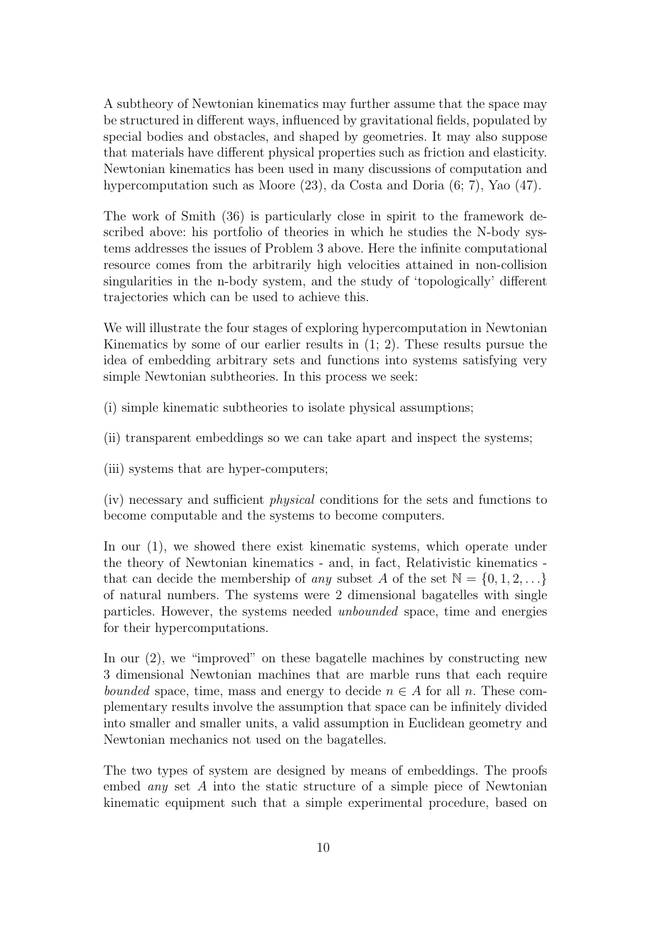A subtheory of Newtonian kinematics may further assume that the space may be structured in different ways, influenced by gravitational fields, populated by special bodies and obstacles, and shaped by geometries. It may also suppose that materials have different physical properties such as friction and elasticity. Newtonian kinematics has been used in many discussions of computation and hypercomputation such as Moore (23), da Costa and Doria (6; 7), Yao (47).

The work of Smith (36) is particularly close in spirit to the framework described above: his portfolio of theories in which he studies the N-body systems addresses the issues of Problem 3 above. Here the infinite computational resource comes from the arbitrarily high velocities attained in non-collision singularities in the n-body system, and the study of 'topologically' different trajectories which can be used to achieve this.

We will illustrate the four stages of exploring hypercomputation in Newtonian Kinematics by some of our earlier results in (1; 2). These results pursue the idea of embedding arbitrary sets and functions into systems satisfying very simple Newtonian subtheories. In this process we seek:

- (i) simple kinematic subtheories to isolate physical assumptions;
- (ii) transparent embeddings so we can take apart and inspect the systems;
- (iii) systems that are hyper-computers;

(iv) necessary and sufficient physical conditions for the sets and functions to become computable and the systems to become computers.

In our  $(1)$ , we showed there exist kinematic systems, which operate under the theory of Newtonian kinematics - and, in fact, Relativistic kinematics that can decide the membership of any subset A of the set  $\mathbb{N} = \{0, 1, 2, \ldots\}$ of natural numbers. The systems were 2 dimensional bagatelles with single particles. However, the systems needed unbounded space, time and energies for their hypercomputations.

In our (2), we "improved" on these bagatelle machines by constructing new 3 dimensional Newtonian machines that are marble runs that each require bounded space, time, mass and energy to decide  $n \in A$  for all n. These complementary results involve the assumption that space can be infinitely divided into smaller and smaller units, a valid assumption in Euclidean geometry and Newtonian mechanics not used on the bagatelles.

The two types of system are designed by means of embeddings. The proofs embed *any* set A into the static structure of a simple piece of Newtonian kinematic equipment such that a simple experimental procedure, based on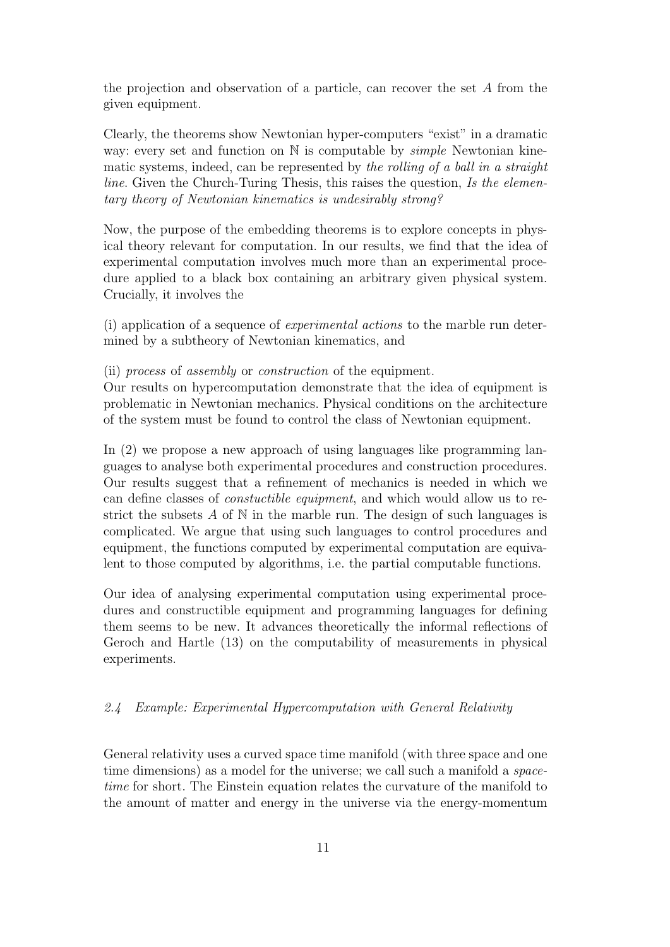the projection and observation of a particle, can recover the set A from the given equipment.

Clearly, the theorems show Newtonian hyper-computers "exist" in a dramatic way: every set and function on  $\mathbb N$  is computable by *simple* Newtonian kinematic systems, indeed, can be represented by the rolling of a ball in a straight line. Given the Church-Turing Thesis, this raises the question, Is the elementary theory of Newtonian kinematics is undesirably strong?

Now, the purpose of the embedding theorems is to explore concepts in physical theory relevant for computation. In our results, we find that the idea of experimental computation involves much more than an experimental procedure applied to a black box containing an arbitrary given physical system. Crucially, it involves the

(i) application of a sequence of experimental actions to the marble run determined by a subtheory of Newtonian kinematics, and

(ii) process of assembly or construction of the equipment.

Our results on hypercomputation demonstrate that the idea of equipment is problematic in Newtonian mechanics. Physical conditions on the architecture of the system must be found to control the class of Newtonian equipment.

In (2) we propose a new approach of using languages like programming languages to analyse both experimental procedures and construction procedures. Our results suggest that a refinement of mechanics is needed in which we can define classes of constuctible equipment, and which would allow us to restrict the subsets  $A$  of  $N$  in the marble run. The design of such languages is complicated. We argue that using such languages to control procedures and equipment, the functions computed by experimental computation are equivalent to those computed by algorithms, i.e. the partial computable functions.

Our idea of analysing experimental computation using experimental procedures and constructible equipment and programming languages for defining them seems to be new. It advances theoretically the informal reflections of Geroch and Hartle (13) on the computability of measurements in physical experiments.

# 2.4 Example: Experimental Hypercomputation with General Relativity

General relativity uses a curved space time manifold (with three space and one time dimensions) as a model for the universe; we call such a manifold a *space*time for short. The Einstein equation relates the curvature of the manifold to the amount of matter and energy in the universe via the energy-momentum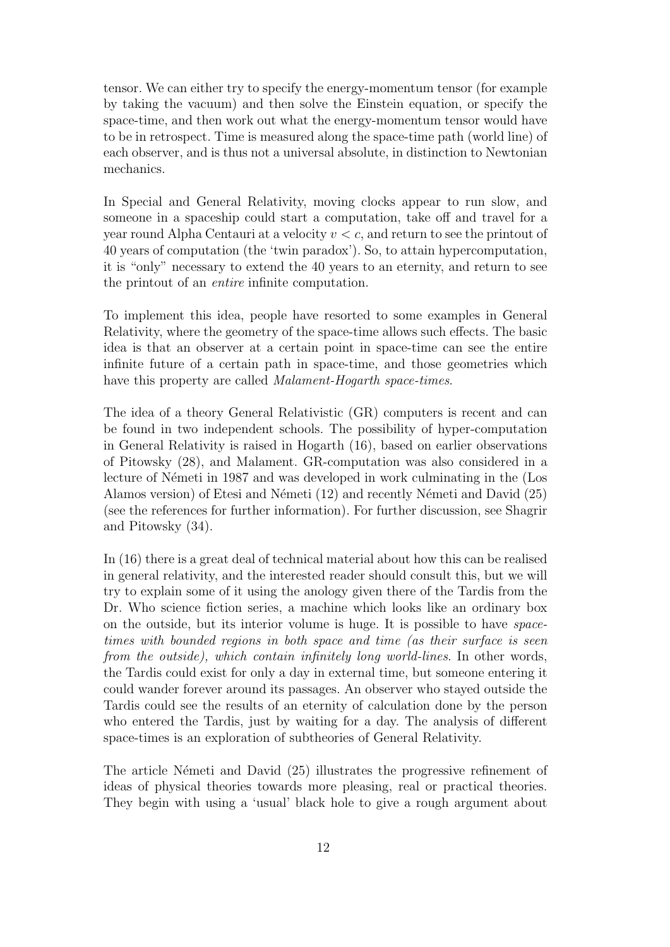tensor. We can either try to specify the energy-momentum tensor (for example by taking the vacuum) and then solve the Einstein equation, or specify the space-time, and then work out what the energy-momentum tensor would have to be in retrospect. Time is measured along the space-time path (world line) of each observer, and is thus not a universal absolute, in distinction to Newtonian mechanics.

In Special and General Relativity, moving clocks appear to run slow, and someone in a spaceship could start a computation, take off and travel for a year round Alpha Centauri at a velocity  $v < c$ , and return to see the printout of 40 years of computation (the 'twin paradox'). So, to attain hypercomputation, it is "only" necessary to extend the 40 years to an eternity, and return to see the printout of an entire infinite computation.

To implement this idea, people have resorted to some examples in General Relativity, where the geometry of the space-time allows such effects. The basic idea is that an observer at a certain point in space-time can see the entire infinite future of a certain path in space-time, and those geometries which have this property are called *Malament-Hogarth space-times*.

The idea of a theory General Relativistic (GR) computers is recent and can be found in two independent schools. The possibility of hyper-computation in General Relativity is raised in Hogarth (16), based on earlier observations of Pitowsky (28), and Malament. GR-computation was also considered in a lecture of Németi in 1987 and was developed in work culminating in the (Los Alamos version) of Etesi and Németi (12) and recently Németi and David (25) (see the references for further information). For further discussion, see Shagrir and Pitowsky (34).

In (16) there is a great deal of technical material about how this can be realised in general relativity, and the interested reader should consult this, but we will try to explain some of it using the anology given there of the Tardis from the Dr. Who science fiction series, a machine which looks like an ordinary box on the outside, but its interior volume is huge. It is possible to have spacetimes with bounded regions in both space and time (as their surface is seen from the outside), which contain infinitely long world-lines. In other words, the Tardis could exist for only a day in external time, but someone entering it could wander forever around its passages. An observer who stayed outside the Tardis could see the results of an eternity of calculation done by the person who entered the Tardis, just by waiting for a day. The analysis of different space-times is an exploration of subtheories of General Relativity.

The article Németi and David  $(25)$  illustrates the progressive refinement of ideas of physical theories towards more pleasing, real or practical theories. They begin with using a 'usual' black hole to give a rough argument about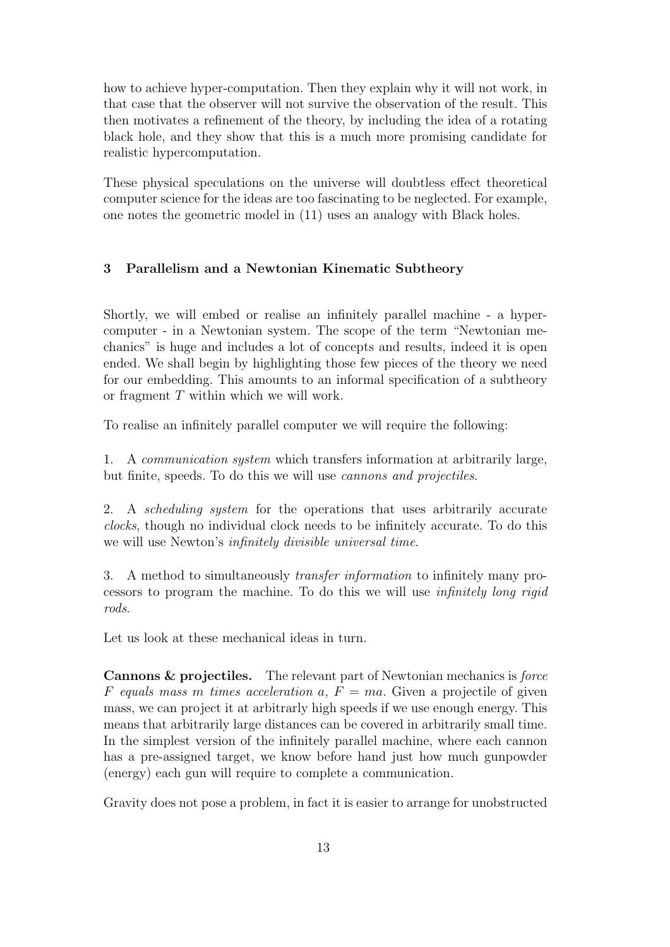how to achieve hyper-computation. Then they explain why it will not work, in that case that the observer will not survive the observation of the result. This then motivates a refinement of the theory, by including the idea of a rotating black hole, and they show that this is a much more promising candidate for realistic hypercomputation.

These physical speculations on the universe will doubtless effect theoretical computer science for the ideas are too fascinating to be neglected. For example, one notes the geometric model in (11) uses an analogy with Black holes.

# 3 Parallelism and a Newtonian Kinematic Subtheory

Shortly, we will embed or realise an infinitely parallel machine - a hypercomputer - in a Newtonian system. The scope of the term "Newtonian mechanics" is huge and includes a lot of concepts and results, indeed it is open ended. We shall begin by highlighting those few pieces of the theory we need for our embedding. This amounts to an informal specification of a subtheory or fragment T within which we will work.

To realise an infinitely parallel computer we will require the following:

1. A communication system which transfers information at arbitrarily large, but finite, speeds. To do this we will use cannons and projectiles.

2. A scheduling system for the operations that uses arbitrarily accurate clocks, though no individual clock needs to be infinitely accurate. To do this we will use Newton's infinitely divisible universal time.

3. A method to simultaneously transfer information to infinitely many processors to program the machine. To do this we will use infinitely long rigid rods.

Let us look at these mechanical ideas in turn.

Cannons & projectiles. The relevant part of Newtonian mechanics is force F equals mass m times acceleration a,  $F = ma$ . Given a projectile of given mass, we can project it at arbitrarly high speeds if we use enough energy. This means that arbitrarily large distances can be covered in arbitrarily small time. In the simplest version of the infinitely parallel machine, where each cannon has a pre-assigned target, we know before hand just how much gunpowder (energy) each gun will require to complete a communication.

Gravity does not pose a problem, in fact it is easier to arrange for unobstructed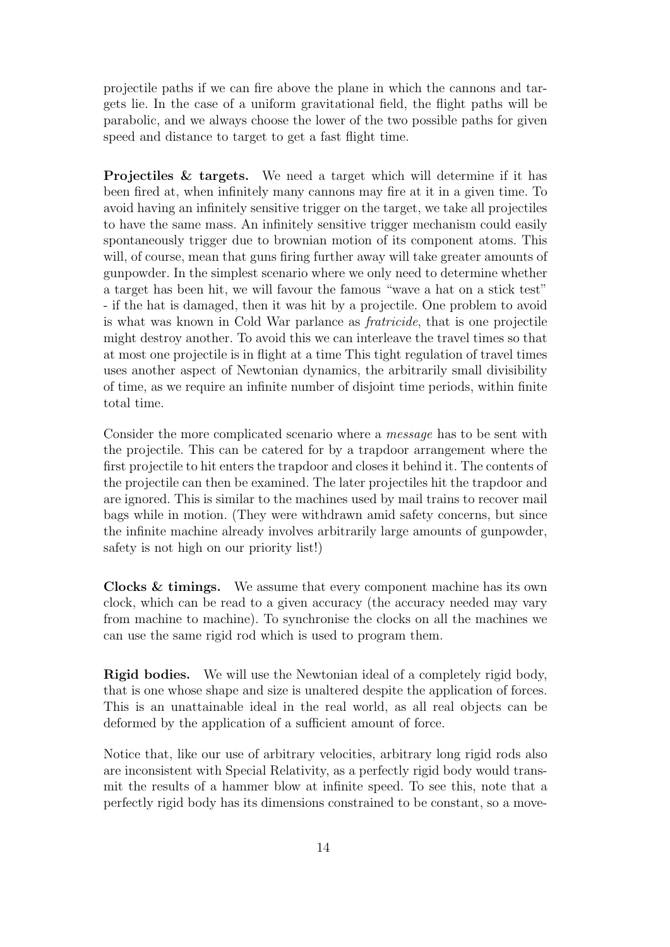projectile paths if we can fire above the plane in which the cannons and targets lie. In the case of a uniform gravitational field, the flight paths will be parabolic, and we always choose the lower of the two possible paths for given speed and distance to target to get a fast flight time.

Projectiles & targets. We need a target which will determine if it has been fired at, when infinitely many cannons may fire at it in a given time. To avoid having an infinitely sensitive trigger on the target, we take all projectiles to have the same mass. An infinitely sensitive trigger mechanism could easily spontaneously trigger due to brownian motion of its component atoms. This will, of course, mean that guns firing further away will take greater amounts of gunpowder. In the simplest scenario where we only need to determine whether a target has been hit, we will favour the famous "wave a hat on a stick test" - if the hat is damaged, then it was hit by a projectile. One problem to avoid is what was known in Cold War parlance as fratricide, that is one projectile might destroy another. To avoid this we can interleave the travel times so that at most one projectile is in flight at a time This tight regulation of travel times uses another aspect of Newtonian dynamics, the arbitrarily small divisibility of time, as we require an infinite number of disjoint time periods, within finite total time.

Consider the more complicated scenario where a message has to be sent with the projectile. This can be catered for by a trapdoor arrangement where the first projectile to hit enters the trapdoor and closes it behind it. The contents of the projectile can then be examined. The later projectiles hit the trapdoor and are ignored. This is similar to the machines used by mail trains to recover mail bags while in motion. (They were withdrawn amid safety concerns, but since the infinite machine already involves arbitrarily large amounts of gunpowder, safety is not high on our priority list!)

Clocks & timings. We assume that every component machine has its own clock, which can be read to a given accuracy (the accuracy needed may vary from machine to machine). To synchronise the clocks on all the machines we can use the same rigid rod which is used to program them.

Rigid bodies. We will use the Newtonian ideal of a completely rigid body, that is one whose shape and size is unaltered despite the application of forces. This is an unattainable ideal in the real world, as all real objects can be deformed by the application of a sufficient amount of force.

Notice that, like our use of arbitrary velocities, arbitrary long rigid rods also are inconsistent with Special Relativity, as a perfectly rigid body would transmit the results of a hammer blow at infinite speed. To see this, note that a perfectly rigid body has its dimensions constrained to be constant, so a move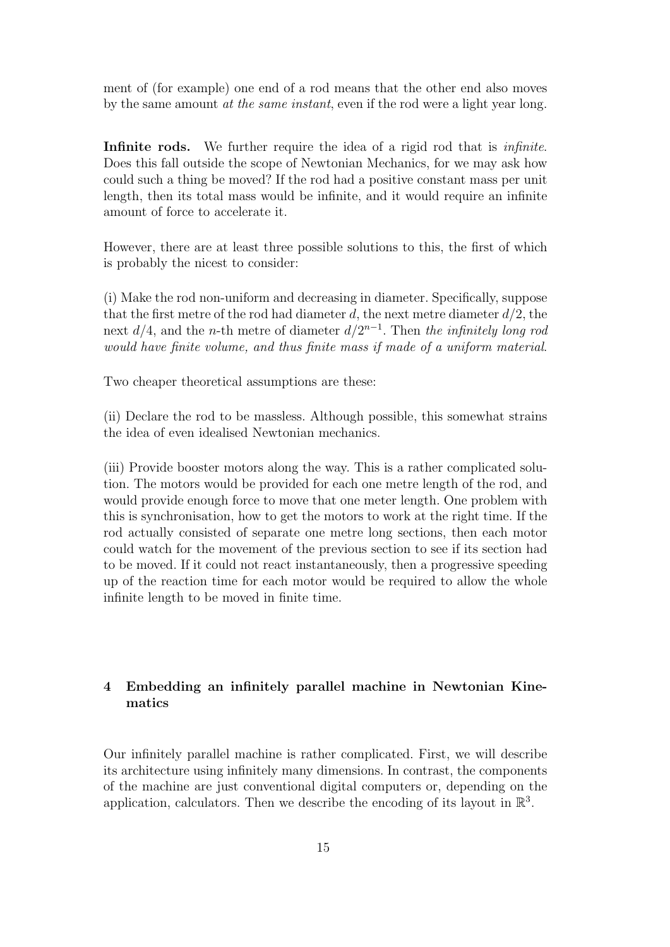ment of (for example) one end of a rod means that the other end also moves by the same amount at the same instant, even if the rod were a light year long.

Infinite rods. We further require the idea of a rigid rod that is *infinite*. Does this fall outside the scope of Newtonian Mechanics, for we may ask how could such a thing be moved? If the rod had a positive constant mass per unit length, then its total mass would be infinite, and it would require an infinite amount of force to accelerate it.

However, there are at least three possible solutions to this, the first of which is probably the nicest to consider:

(i) Make the rod non-uniform and decreasing in diameter. Specifically, suppose that the first metre of the rod had diameter d, the next metre diameter  $d/2$ , the next  $d/4$ , and the *n*-th metre of diameter  $d/2^{n-1}$ . Then the *infinitely long rod* would have finite volume, and thus finite mass if made of a uniform material.

Two cheaper theoretical assumptions are these:

(ii) Declare the rod to be massless. Although possible, this somewhat strains the idea of even idealised Newtonian mechanics.

(iii) Provide booster motors along the way. This is a rather complicated solution. The motors would be provided for each one metre length of the rod, and would provide enough force to move that one meter length. One problem with this is synchronisation, how to get the motors to work at the right time. If the rod actually consisted of separate one metre long sections, then each motor could watch for the movement of the previous section to see if its section had to be moved. If it could not react instantaneously, then a progressive speeding up of the reaction time for each motor would be required to allow the whole infinite length to be moved in finite time.

# 4 Embedding an infinitely parallel machine in Newtonian Kinematics

Our infinitely parallel machine is rather complicated. First, we will describe its architecture using infinitely many dimensions. In contrast, the components of the machine are just conventional digital computers or, depending on the application, calculators. Then we describe the encoding of its layout in  $\mathbb{R}^3$ .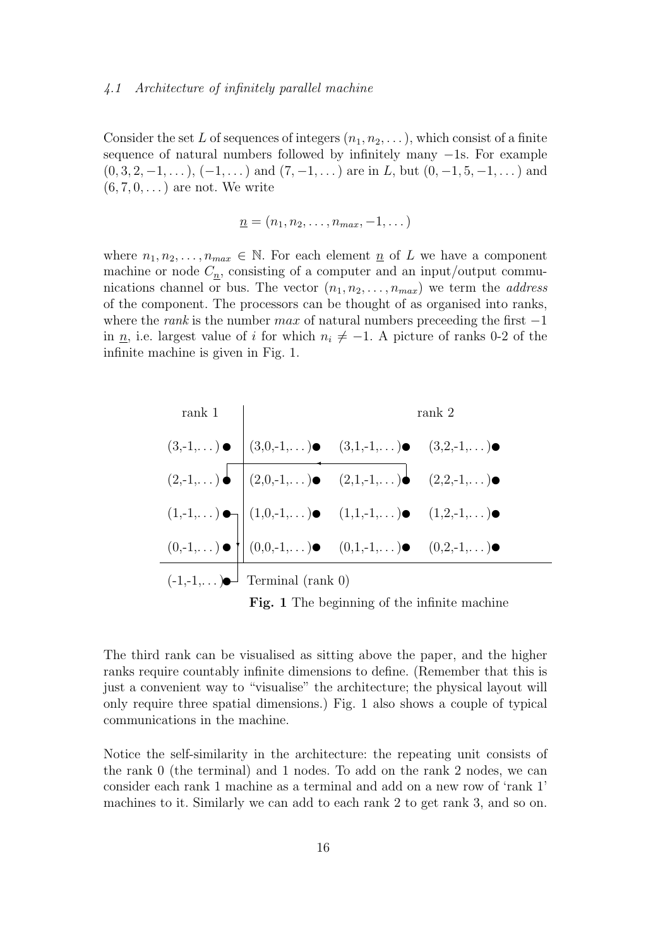#### 4.1 Architecture of infinitely parallel machine

Consider the set L of sequences of integers  $(n_1, n_2, \ldots)$ , which consist of a finite sequence of natural numbers followed by infinitely many  $-1$ s. For example  $(0, 3, 2, -1, \ldots), (-1, \ldots)$  and  $(7, -1, \ldots)$  are in L, but  $(0, -1, 5, -1, \ldots)$  and  $(6, 7, 0, \dots)$  are not. We write

$$
\underline{n}=(n_1,n_2,\ldots,n_{max},-1,\ldots)
$$

where  $n_1, n_2, \ldots, n_{max} \in \mathbb{N}$ . For each element  $\underline{n}$  of  $L$  we have a component machine or node  $C_n$ , consisting of a computer and an input/output communications channel or bus. The vector  $(n_1, n_2, \ldots, n_{max})$  we term the *address* of the component. The processors can be thought of as organised into ranks, where the rank is the number max of natural numbers preceeding the first  $-1$ in  $n_i$ , i.e. largest value of i for which  $n_i \neq -1$ . A picture of ranks 0-2 of the infinite machine is given in Fig. 1.



Fig. 1 The beginning of the infinite machine

The third rank can be visualised as sitting above the paper, and the higher ranks require countably infinite dimensions to define. (Remember that this is just a convenient way to "visualise" the architecture; the physical layout will only require three spatial dimensions.) Fig. 1 also shows a couple of typical communications in the machine.

Notice the self-similarity in the architecture: the repeating unit consists of the rank 0 (the terminal) and 1 nodes. To add on the rank 2 nodes, we can consider each rank 1 machine as a terminal and add on a new row of 'rank 1' machines to it. Similarly we can add to each rank 2 to get rank 3, and so on.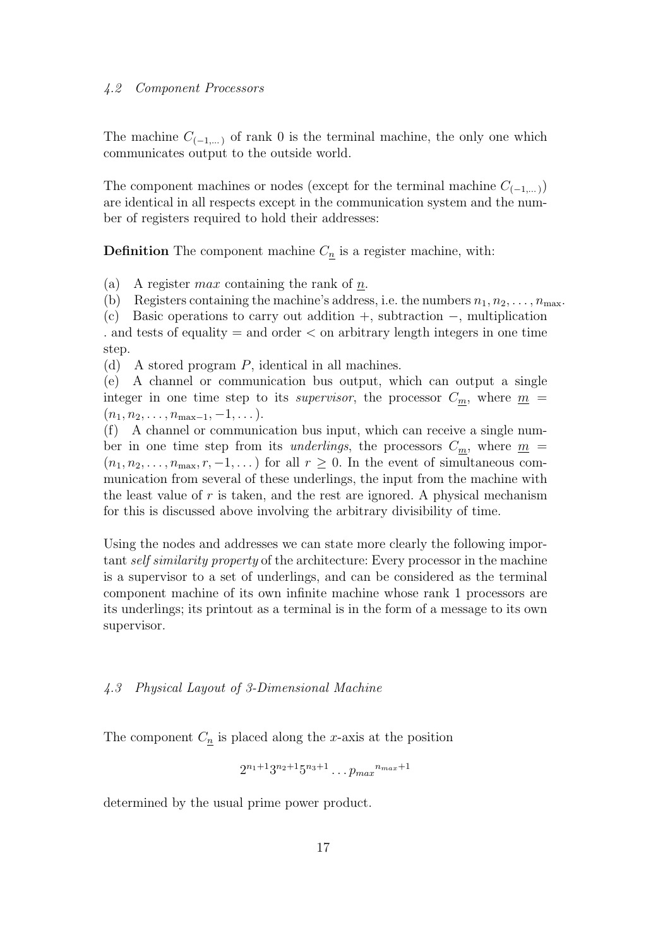#### 4.2 Component Processors

The machine  $C_{(-1,...)}$  of rank 0 is the terminal machine, the only one which communicates output to the outside world.

The component machines or nodes (except for the terminal machine  $C_{(-1,...)}$ ) are identical in all respects except in the communication system and the number of registers required to hold their addresses:

**Definition** The component machine  $C_n$  is a register machine, with:

(a) A register max containing the rank of  $n$ .

(b) Registers containing the machine's address, i.e. the numbers  $n_1, n_2, \ldots, n_{\text{max}}$ .

(c) Basic operations to carry out addition +, subtraction −, multiplication . and tests of equality  $=$  and order  $\lt$  on arbitrary length integers in one time step.

(d) A stored program P, identical in all machines.

(e) A channel or communication bus output, which can output a single integer in one time step to its *supervisor*, the processor  $C_m$ , where  $m =$  $(n_1, n_2, \ldots, n_{\max-1}, -1, \ldots).$ 

(f) A channel or communication bus input, which can receive a single number in one time step from its *underlings*, the processors  $C_m$ , where  $m =$  $(n_1, n_2, \ldots, n_{\text{max}}, r, -1, \ldots)$  for all  $r \geq 0$ . In the event of simultaneous communication from several of these underlings, the input from the machine with the least value of  $r$  is taken, and the rest are ignored. A physical mechanism for this is discussed above involving the arbitrary divisibility of time.

Using the nodes and addresses we can state more clearly the following important self similarity property of the architecture: Every processor in the machine is a supervisor to a set of underlings, and can be considered as the terminal component machine of its own infinite machine whose rank 1 processors are its underlings; its printout as a terminal is in the form of a message to its own supervisor.

#### 4.3 Physical Layout of 3-Dimensional Machine

The component  $C_n$  is placed along the x-axis at the position

$$
2^{n_1+1}3^{n_2+1}5^{n_3+1}\dots p_{max}^{n_{max}+1}
$$

determined by the usual prime power product.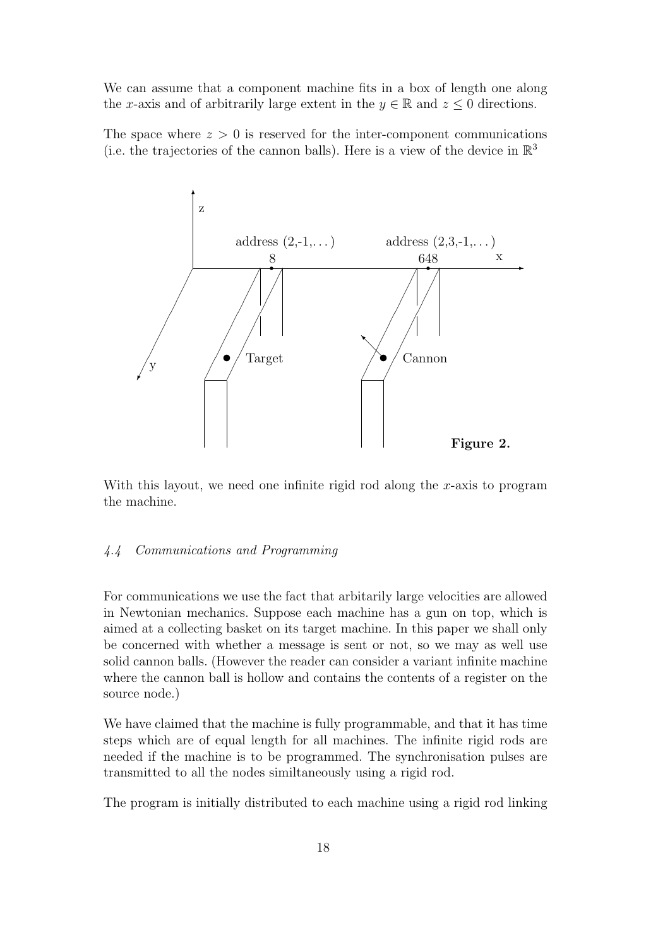We can assume that a component machine fits in a box of length one along the x-axis and of arbitrarily large extent in the  $y \in \mathbb{R}$  and  $z \leq 0$  directions.

The space where  $z > 0$  is reserved for the inter-component communications (i.e. the trajectories of the cannon balls). Here is a view of the device in  $\mathbb{R}^3$ 



With this layout, we need one infinite rigid rod along the  $x$ -axis to program the machine.

# 4.4 Communications and Programming

For communications we use the fact that arbitarily large velocities are allowed in Newtonian mechanics. Suppose each machine has a gun on top, which is aimed at a collecting basket on its target machine. In this paper we shall only be concerned with whether a message is sent or not, so we may as well use solid cannon balls. (However the reader can consider a variant infinite machine where the cannon ball is hollow and contains the contents of a register on the source node.)

We have claimed that the machine is fully programmable, and that it has time steps which are of equal length for all machines. The infinite rigid rods are needed if the machine is to be programmed. The synchronisation pulses are transmitted to all the nodes similtaneously using a rigid rod.

The program is initially distributed to each machine using a rigid rod linking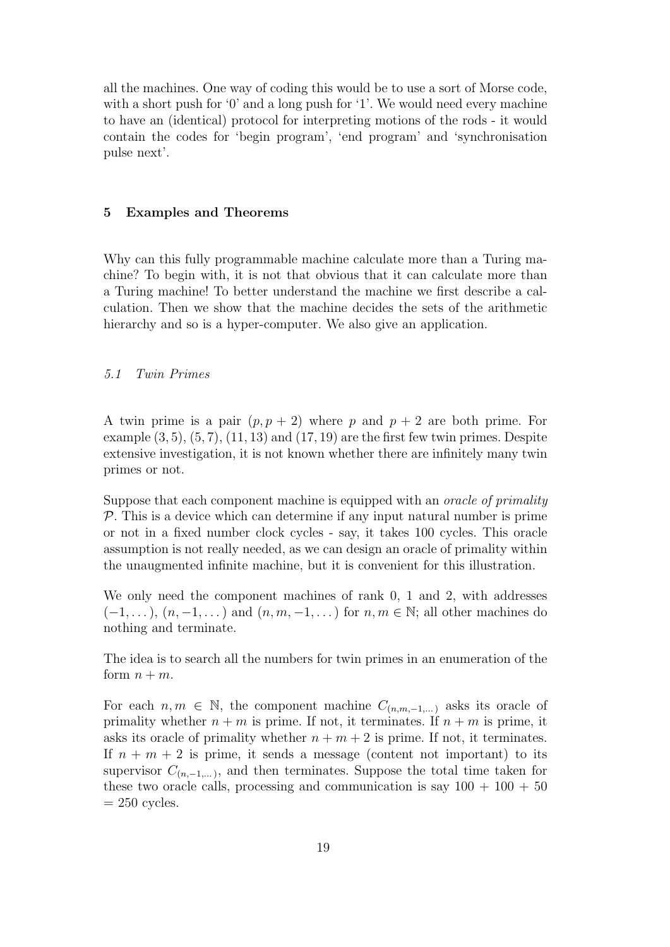all the machines. One way of coding this would be to use a sort of Morse code, with a short push for '0' and a long push for '1'. We would need every machine to have an (identical) protocol for interpreting motions of the rods - it would contain the codes for 'begin program', 'end program' and 'synchronisation pulse next'.

#### 5 Examples and Theorems

Why can this fully programmable machine calculate more than a Turing machine? To begin with, it is not that obvious that it can calculate more than a Turing machine! To better understand the machine we first describe a calculation. Then we show that the machine decides the sets of the arithmetic hierarchy and so is a hyper-computer. We also give an application.

## 5.1 Twin Primes

A twin prime is a pair  $(p, p + 2)$  where p and  $p + 2$  are both prime. For example  $(3, 5)$ ,  $(5, 7)$ ,  $(11, 13)$  and  $(17, 19)$  are the first few twin primes. Despite extensive investigation, it is not known whether there are infinitely many twin primes or not.

Suppose that each component machine is equipped with an *oracle of primality*  $P$ . This is a device which can determine if any input natural number is prime or not in a fixed number clock cycles - say, it takes 100 cycles. This oracle assumption is not really needed, as we can design an oracle of primality within the unaugmented infinite machine, but it is convenient for this illustration.

We only need the component machines of rank 0, 1 and 2, with addresses  $(-1, \ldots), (n, -1, \ldots)$  and  $(n, m, -1, \ldots)$  for  $n, m \in \mathbb{N}$ ; all other machines do nothing and terminate.

The idea is to search all the numbers for twin primes in an enumeration of the form  $n + m$ .

For each  $n, m \in \mathbb{N}$ , the component machine  $C_{(n,m,-1,...)}$  asks its oracle of primality whether  $n + m$  is prime. If not, it terminates. If  $n + m$  is prime, it asks its oracle of primality whether  $n + m + 2$  is prime. If not, it terminates. If  $n + m + 2$  is prime, it sends a message (content not important) to its supervisor  $C_{(n,-1,...)}$ , and then terminates. Suppose the total time taken for these two oracle calls, processing and communication is say  $100 + 100 + 50$  $= 250$  cycles.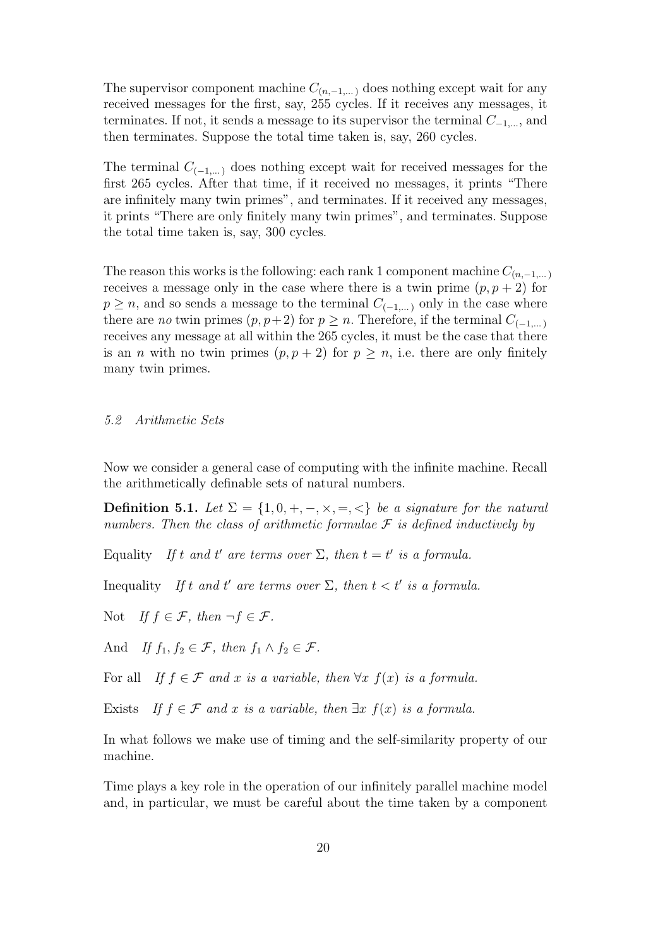The supervisor component machine  $C_{(n,-1,...)}$  does nothing except wait for any received messages for the first, say, 255 cycles. If it receives any messages, it terminates. If not, it sends a message to its supervisor the terminal  $C_{-1,\ldots}$ , and then terminates. Suppose the total time taken is, say, 260 cycles.

The terminal  $C_{(-1,...)}$  does nothing except wait for received messages for the first 265 cycles. After that time, if it received no messages, it prints "There are infinitely many twin primes", and terminates. If it received any messages, it prints "There are only finitely many twin primes", and terminates. Suppose the total time taken is, say, 300 cycles.

The reason this works is the following: each rank 1 component machine  $C_{(n,-1,\ldots)}$ receives a message only in the case where there is a twin prime  $(p, p + 2)$  for  $p \geq n$ , and so sends a message to the terminal  $C_{(-1,...)}$  only in the case where there are *no* twin primes  $(p, p+2)$  for  $p \geq n$ . Therefore, if the terminal  $C_{(-1,...)}$ receives any message at all within the 265 cycles, it must be the case that there is an *n* with no twin primes  $(p, p + 2)$  for  $p \geq n$ , i.e. there are only finitely many twin primes.

#### 5.2 Arithmetic Sets

Now we consider a general case of computing with the infinite machine. Recall the arithmetically definable sets of natural numbers.

**Definition 5.1.** Let  $\Sigma = \{1, 0, +, -, \times, =, \leq\}$  be a signature for the natural numbers. Then the class of arithmetic formulae  $\mathcal F$  is defined inductively by

Equality If t and t' are terms over  $\Sigma$ , then  $t = t'$  is a formula.

Inequality If t and t' are terms over  $\Sigma$ , then  $t < t'$  is a formula.

Not If  $f \in \mathcal{F}$ , then  $\neg f \in \mathcal{F}$ .

And If  $f_1, f_2 \in \mathcal{F}$ , then  $f_1 \wedge f_2 \in \mathcal{F}$ .

For all If  $f \in \mathcal{F}$  and x is a variable, then  $\forall x$   $f(x)$  is a formula.

Exists If  $f \in \mathcal{F}$  and x is a variable, then  $\exists x \ f(x)$  is a formula.

In what follows we make use of timing and the self-similarity property of our machine.

Time plays a key role in the operation of our infinitely parallel machine model and, in particular, we must be careful about the time taken by a component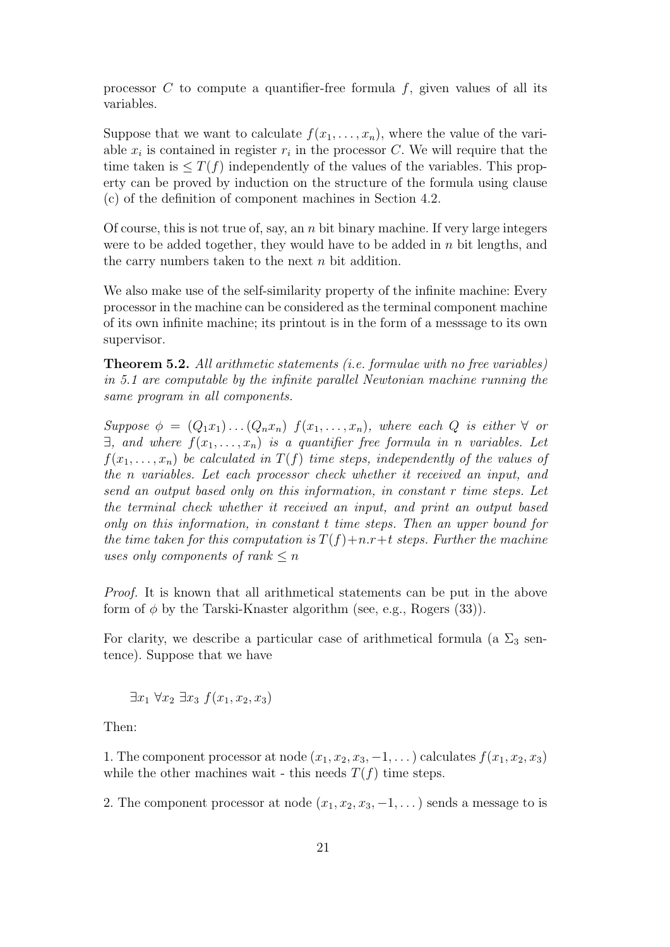processor  $C$  to compute a quantifier-free formula  $f$ , given values of all its variables.

Suppose that we want to calculate  $f(x_1, \ldots, x_n)$ , where the value of the variable  $x_i$  is contained in register  $r_i$  in the processor C. We will require that the time taken is  $\leq T(f)$  independently of the values of the variables. This property can be proved by induction on the structure of the formula using clause (c) of the definition of component machines in Section 4.2.

Of course, this is not true of, say, an  $n$  bit binary machine. If very large integers were to be added together, they would have to be added in  $n$  bit lengths, and the carry numbers taken to the next n bit addition.

We also make use of the self-similarity property of the infinite machine: Every processor in the machine can be considered as the terminal component machine of its own infinite machine; its printout is in the form of a messsage to its own supervisor.

Theorem 5.2. All arithmetic statements (i.e. formulae with no free variables) in 5.1 are computable by the infinite parallel Newtonian machine running the same program in all components.

Suppose  $\phi = (Q_1x_1)...(Q_nx_n) f(x_1,...,x_n)$ , where each Q is either  $\forall$  or  $\exists$ , and where  $f(x_1, \ldots, x_n)$  is a quantifier free formula in n variables. Let  $f(x_1, \ldots, x_n)$  be calculated in  $T(f)$  time steps, independently of the values of the n variables. Let each processor check whether it received an input, and send an output based only on this information, in constant r time steps. Let the terminal check whether it received an input, and print an output based only on this information, in constant t time steps. Then an upper bound for the time taken for this computation is  $T(f)+n.r+t$  steps. Further the machine uses only components of rank  $\leq n$ 

Proof. It is known that all arithmetical statements can be put in the above form of  $\phi$  by the Tarski-Knaster algorithm (see, e.g., Rogers (33)).

For clarity, we describe a particular case of arithmetical formula (a  $\Sigma_3$  sentence). Suppose that we have

 $\exists x_1 \forall x_2 \exists x_3 f(x_1, x_2, x_3)$ 

Then:

1. The component processor at node  $(x_1, x_2, x_3, -1, \dots)$  calculates  $f(x_1, x_2, x_3)$ while the other machines wait - this needs  $T(f)$  time steps.

2. The component processor at node  $(x_1, x_2, x_3, -1, ...)$  sends a message to is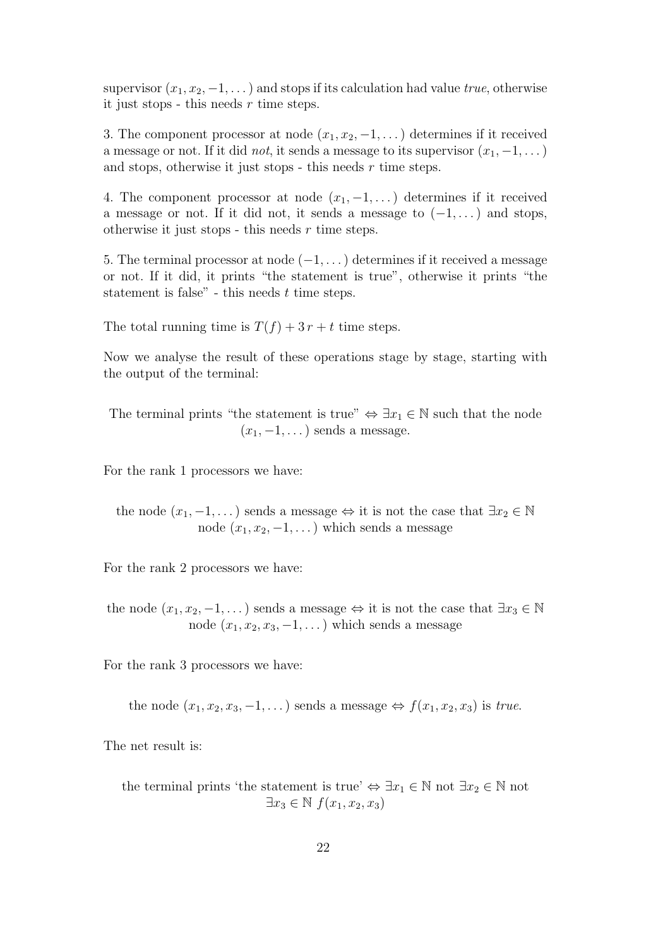supervisor  $(x_1, x_2, -1, \dots)$  and stops if its calculation had value true, otherwise it just stops - this needs  $r$  time steps.

3. The component processor at node  $(x_1, x_2, -1, \dots)$  determines if it received a message or not. If it did *not*, it sends a message to its supervisor  $(x_1, -1, \dots)$ and stops, otherwise it just stops - this needs  $r$  time steps.

4. The component processor at node  $(x_1, -1, \ldots)$  determines if it received a message or not. If it did not, it sends a message to  $(-1, \ldots)$  and stops, otherwise it just stops - this needs  $r$  time steps.

5. The terminal processor at node  $(-1, \ldots)$  determines if it received a message or not. If it did, it prints "the statement is true", otherwise it prints "the statement is false" - this needs  $t$  time steps.

The total running time is  $T(f) + 3r + t$  time steps.

Now we analyse the result of these operations stage by stage, starting with the output of the terminal:

The terminal prints "the statement is true"  $\Leftrightarrow \exists x_1 \in \mathbb{N}$  such that the node  $(x_1, -1, \dots)$  sends a message.

For the rank 1 processors we have:

the node  $(x_1, -1, \dots)$  sends a message  $\Leftrightarrow$  it is not the case that  $\exists x_2 \in \mathbb{N}$ node  $(x_1, x_2, -1, \dots)$  which sends a message

For the rank 2 processors we have:

the node  $(x_1, x_2, -1, \dots)$  sends a message  $\Leftrightarrow$  it is not the case that  $\exists x_3 \in \mathbb{N}$ node  $(x_1, x_2, x_3, -1, \ldots)$  which sends a message

For the rank 3 processors we have:

the node  $(x_1, x_2, x_3, -1, ...)$  sends a message  $\Leftrightarrow f(x_1, x_2, x_3)$  is true.

The net result is:

the terminal prints 'the statement is true'  $\Leftrightarrow \exists x_1 \in \mathbb{N}$  not  $\exists x_2 \in \mathbb{N}$  not  $\exists x_3 \in \mathbb{N}$   $f(x_1, x_2, x_3)$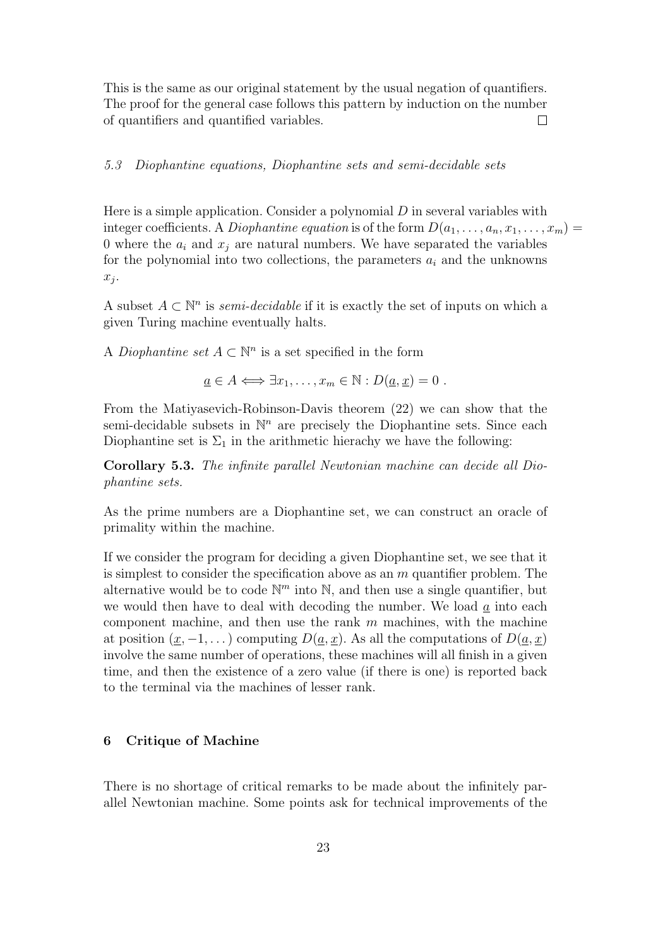This is the same as our original statement by the usual negation of quantifiers. The proof for the general case follows this pattern by induction on the number of quantifiers and quantified variables.  $\Box$ 

#### 5.3 Diophantine equations, Diophantine sets and semi-decidable sets

Here is a simple application. Consider a polynomial  $D$  in several variables with integer coefficients. A *Diophantine equation* is of the form  $D(a_1, \ldots, a_n, x_1, \ldots, x_m)$  = 0 where the  $a_i$  and  $x_j$  are natural numbers. We have separated the variables for the polynomial into two collections, the parameters  $a_i$  and the unknowns  $x_j$ .

A subset  $A \subset \mathbb{N}^n$  is *semi-decidable* if it is exactly the set of inputs on which a given Turing machine eventually halts.

A Diophantine set  $A \subset \mathbb{N}^n$  is a set specified in the form

$$
\underline{a} \in A \Longleftrightarrow \exists x_1, \ldots, x_m \in \mathbb{N} : D(\underline{a}, \underline{x}) = 0 .
$$

From the Matiyasevich-Robinson-Davis theorem (22) we can show that the semi-decidable subsets in  $\mathbb{N}^n$  are precisely the Diophantine sets. Since each Diophantine set is  $\Sigma_1$  in the arithmetic hierachy we have the following:

Corollary 5.3. The infinite parallel Newtonian machine can decide all Diophantine sets.

As the prime numbers are a Diophantine set, we can construct an oracle of primality within the machine.

If we consider the program for deciding a given Diophantine set, we see that it is simplest to consider the specification above as an  $m$  quantifier problem. The alternative would be to code  $\mathbb{N}^m$  into  $\mathbb{N}$ , and then use a single quantifier, but we would then have to deal with decoding the number. We load  $\underline{a}$  into each component machine, and then use the rank  $m$  machines, with the machine at position  $(x, -1, ...)$  computing  $D(a, x)$ . As all the computations of  $D(a, x)$ involve the same number of operations, these machines will all finish in a given time, and then the existence of a zero value (if there is one) is reported back to the terminal via the machines of lesser rank.

## 6 Critique of Machine

There is no shortage of critical remarks to be made about the infinitely parallel Newtonian machine. Some points ask for technical improvements of the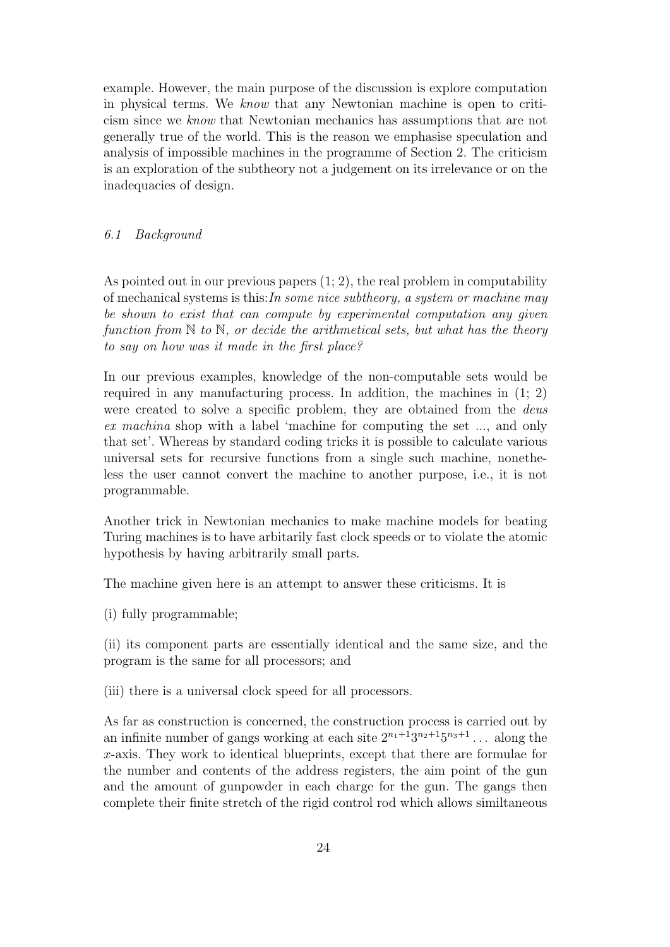example. However, the main purpose of the discussion is explore computation in physical terms. We know that any Newtonian machine is open to criticism since we know that Newtonian mechanics has assumptions that are not generally true of the world. This is the reason we emphasise speculation and analysis of impossible machines in the programme of Section 2. The criticism is an exploration of the subtheory not a judgement on its irrelevance or on the inadequacies of design.

## 6.1 Background

As pointed out in our previous papers  $(1; 2)$ , the real problem in computability of mechanical systems is this: In some nice subtheory, a system or machine may be shown to exist that can compute by experimental computation any given function from  $\mathbb N$  to  $\mathbb N$ , or decide the arithmetical sets, but what has the theory to say on how was it made in the first place?

In our previous examples, knowledge of the non-computable sets would be required in any manufacturing process. In addition, the machines in (1; 2) were created to solve a specific problem, they are obtained from the deus ex machina shop with a label 'machine for computing the set ..., and only that set'. Whereas by standard coding tricks it is possible to calculate various universal sets for recursive functions from a single such machine, nonetheless the user cannot convert the machine to another purpose, i.e., it is not programmable.

Another trick in Newtonian mechanics to make machine models for beating Turing machines is to have arbitarily fast clock speeds or to violate the atomic hypothesis by having arbitrarily small parts.

The machine given here is an attempt to answer these criticisms. It is

(i) fully programmable;

(ii) its component parts are essentially identical and the same size, and the program is the same for all processors; and

(iii) there is a universal clock speed for all processors.

As far as construction is concerned, the construction process is carried out by an infinite number of gangs working at each site  $2^{n_1+1}3^{n_2+1}5^{n_3+1} \dots$  along the x-axis. They work to identical blueprints, except that there are formulae for the number and contents of the address registers, the aim point of the gun and the amount of gunpowder in each charge for the gun. The gangs then complete their finite stretch of the rigid control rod which allows similtaneous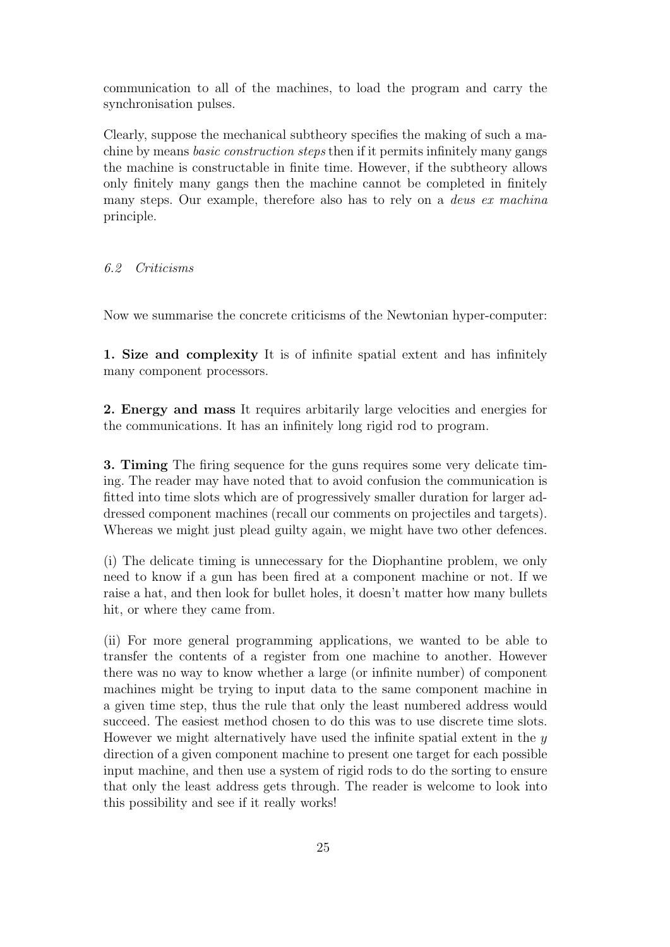communication to all of the machines, to load the program and carry the synchronisation pulses.

Clearly, suppose the mechanical subtheory specifies the making of such a machine by means basic construction steps then if it permits infinitely many gangs the machine is constructable in finite time. However, if the subtheory allows only finitely many gangs then the machine cannot be completed in finitely many steps. Our example, therefore also has to rely on a deus ex machina principle.

# 6.2 Criticisms

Now we summarise the concrete criticisms of the Newtonian hyper-computer:

1. Size and complexity It is of infinite spatial extent and has infinitely many component processors.

2. Energy and mass It requires arbitarily large velocities and energies for the communications. It has an infinitely long rigid rod to program.

3. Timing The firing sequence for the guns requires some very delicate timing. The reader may have noted that to avoid confusion the communication is fitted into time slots which are of progressively smaller duration for larger addressed component machines (recall our comments on projectiles and targets). Whereas we might just plead guilty again, we might have two other defences.

(i) The delicate timing is unnecessary for the Diophantine problem, we only need to know if a gun has been fired at a component machine or not. If we raise a hat, and then look for bullet holes, it doesn't matter how many bullets hit, or where they came from.

(ii) For more general programming applications, we wanted to be able to transfer the contents of a register from one machine to another. However there was no way to know whether a large (or infinite number) of component machines might be trying to input data to the same component machine in a given time step, thus the rule that only the least numbered address would succeed. The easiest method chosen to do this was to use discrete time slots. However we might alternatively have used the infinite spatial extent in the  $y$ direction of a given component machine to present one target for each possible input machine, and then use a system of rigid rods to do the sorting to ensure that only the least address gets through. The reader is welcome to look into this possibility and see if it really works!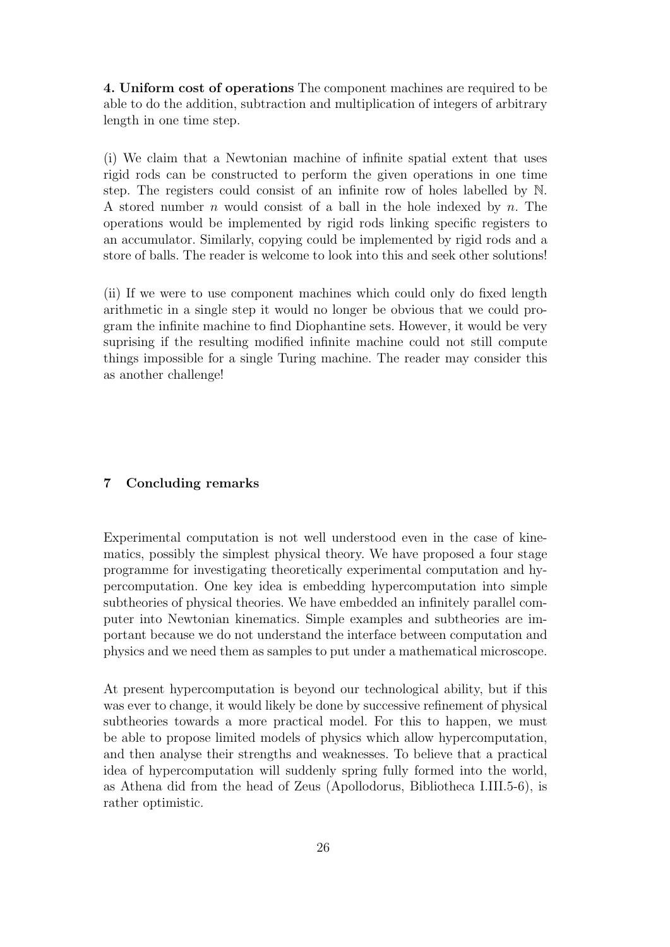4. Uniform cost of operations The component machines are required to be able to do the addition, subtraction and multiplication of integers of arbitrary length in one time step.

(i) We claim that a Newtonian machine of infinite spatial extent that uses rigid rods can be constructed to perform the given operations in one time step. The registers could consist of an infinite row of holes labelled by N. A stored number n would consist of a ball in the hole indexed by  $n$ . The operations would be implemented by rigid rods linking specific registers to an accumulator. Similarly, copying could be implemented by rigid rods and a store of balls. The reader is welcome to look into this and seek other solutions!

(ii) If we were to use component machines which could only do fixed length arithmetic in a single step it would no longer be obvious that we could program the infinite machine to find Diophantine sets. However, it would be very suprising if the resulting modified infinite machine could not still compute things impossible for a single Turing machine. The reader may consider this as another challenge!

## 7 Concluding remarks

Experimental computation is not well understood even in the case of kinematics, possibly the simplest physical theory. We have proposed a four stage programme for investigating theoretically experimental computation and hypercomputation. One key idea is embedding hypercomputation into simple subtheories of physical theories. We have embedded an infinitely parallel computer into Newtonian kinematics. Simple examples and subtheories are important because we do not understand the interface between computation and physics and we need them as samples to put under a mathematical microscope.

At present hypercomputation is beyond our technological ability, but if this was ever to change, it would likely be done by successive refinement of physical subtheories towards a more practical model. For this to happen, we must be able to propose limited models of physics which allow hypercomputation, and then analyse their strengths and weaknesses. To believe that a practical idea of hypercomputation will suddenly spring fully formed into the world, as Athena did from the head of Zeus (Apollodorus, Bibliotheca I.III.5-6), is rather optimistic.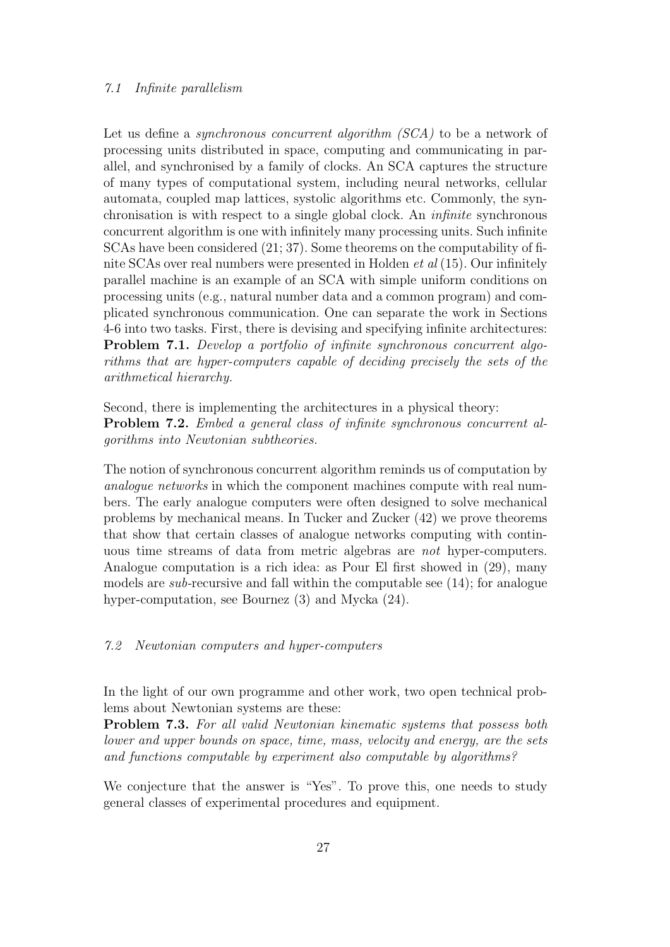#### 7.1 Infinite parallelism

Let us define a *synchronous concurrent algorithm (SCA)* to be a network of processing units distributed in space, computing and communicating in parallel, and synchronised by a family of clocks. An SCA captures the structure of many types of computational system, including neural networks, cellular automata, coupled map lattices, systolic algorithms etc. Commonly, the synchronisation is with respect to a single global clock. An infinite synchronous concurrent algorithm is one with infinitely many processing units. Such infinite SCAs have been considered (21; 37). Some theorems on the computability of finite SCAs over real numbers were presented in Holden  $et al(15)$ . Our infinitely parallel machine is an example of an SCA with simple uniform conditions on processing units (e.g., natural number data and a common program) and complicated synchronous communication. One can separate the work in Sections 4-6 into two tasks. First, there is devising and specifying infinite architectures: Problem 7.1. Develop a portfolio of infinite synchronous concurrent algorithms that are hyper-computers capable of deciding precisely the sets of the arithmetical hierarchy.

Second, there is implementing the architectures in a physical theory: Problem 7.2. Embed a general class of infinite synchronous concurrent algorithms into Newtonian subtheories.

The notion of synchronous concurrent algorithm reminds us of computation by analogue networks in which the component machines compute with real numbers. The early analogue computers were often designed to solve mechanical problems by mechanical means. In Tucker and Zucker (42) we prove theorems that show that certain classes of analogue networks computing with continuous time streams of data from metric algebras are not hyper-computers. Analogue computation is a rich idea: as Pour El first showed in (29), many models are sub-recursive and fall within the computable see (14); for analogue hyper-computation, see Bournez (3) and Mycka (24).

#### 7.2 Newtonian computers and hyper-computers

In the light of our own programme and other work, two open technical problems about Newtonian systems are these:

Problem 7.3. For all valid Newtonian kinematic systems that possess both lower and upper bounds on space, time, mass, velocity and energy, are the sets and functions computable by experiment also computable by algorithms?

We conjecture that the answer is "Yes". To prove this, one needs to study general classes of experimental procedures and equipment.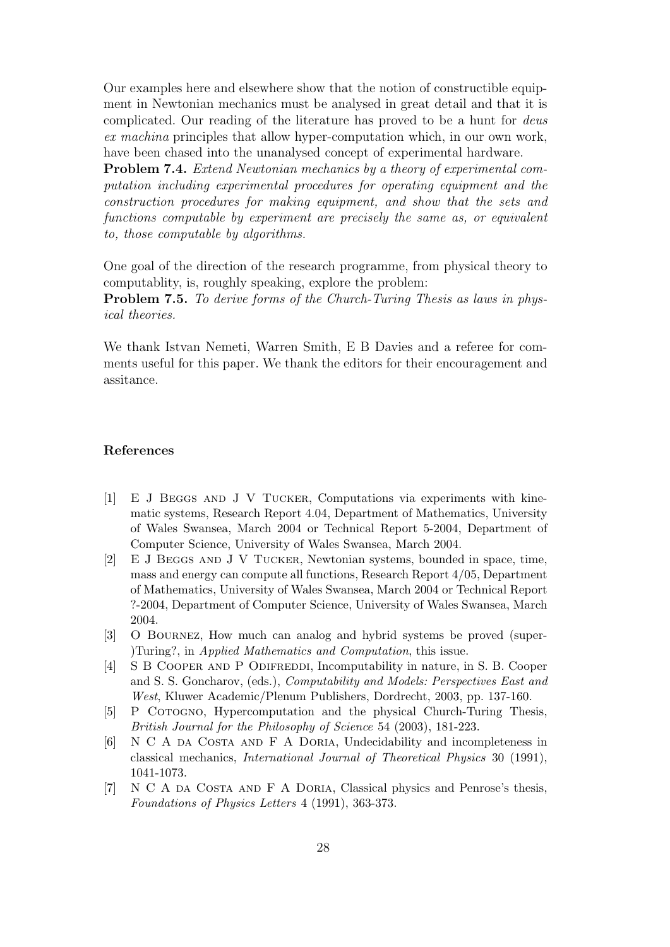Our examples here and elsewhere show that the notion of constructible equipment in Newtonian mechanics must be analysed in great detail and that it is complicated. Our reading of the literature has proved to be a hunt for deus ex machina principles that allow hyper-computation which, in our own work, have been chased into the unanalysed concept of experimental hardware.

Problem 7.4. Extend Newtonian mechanics by a theory of experimental computation including experimental procedures for operating equipment and the construction procedures for making equipment, and show that the sets and functions computable by experiment are precisely the same as, or equivalent to, those computable by algorithms.

One goal of the direction of the research programme, from physical theory to computablity, is, roughly speaking, explore the problem:

Problem 7.5. To derive forms of the Church-Turing Thesis as laws in physical theories.

We thank Istvan Nemeti, Warren Smith, E B Davies and a referee for comments useful for this paper. We thank the editors for their encouragement and assitance.

#### References

- [1] E J Beggs and J V Tucker, Computations via experiments with kinematic systems, Research Report 4.04, Department of Mathematics, University of Wales Swansea, March 2004 or Technical Report 5-2004, Department of Computer Science, University of Wales Swansea, March 2004.
- [2] E J Beggs and J V Tucker, Newtonian systems, bounded in space, time, mass and energy can compute all functions, Research Report 4/05, Department of Mathematics, University of Wales Swansea, March 2004 or Technical Report ?-2004, Department of Computer Science, University of Wales Swansea, March 2004.
- [3] O Bournez, How much can analog and hybrid systems be proved (super- )Turing?, in Applied Mathematics and Computation, this issue.
- [4] S B Cooper and P Odifreddi, Incomputability in nature, in S. B. Cooper and S. S. Goncharov, (eds.), Computability and Models: Perspectives East and West, Kluwer Academic/Plenum Publishers, Dordrecht, 2003, pp. 137-160.
- [5] P COTOGNO, Hypercomputation and the physical Church-Turing Thesis, British Journal for the Philosophy of Science 54 (2003), 181-223.
- [6] N C A da Costa and F A Doria, Undecidability and incompleteness in classical mechanics, International Journal of Theoretical Physics 30 (1991), 1041-1073.
- [7] N C A da Costa and F A Doria, Classical physics and Penrose's thesis, Foundations of Physics Letters 4 (1991), 363-373.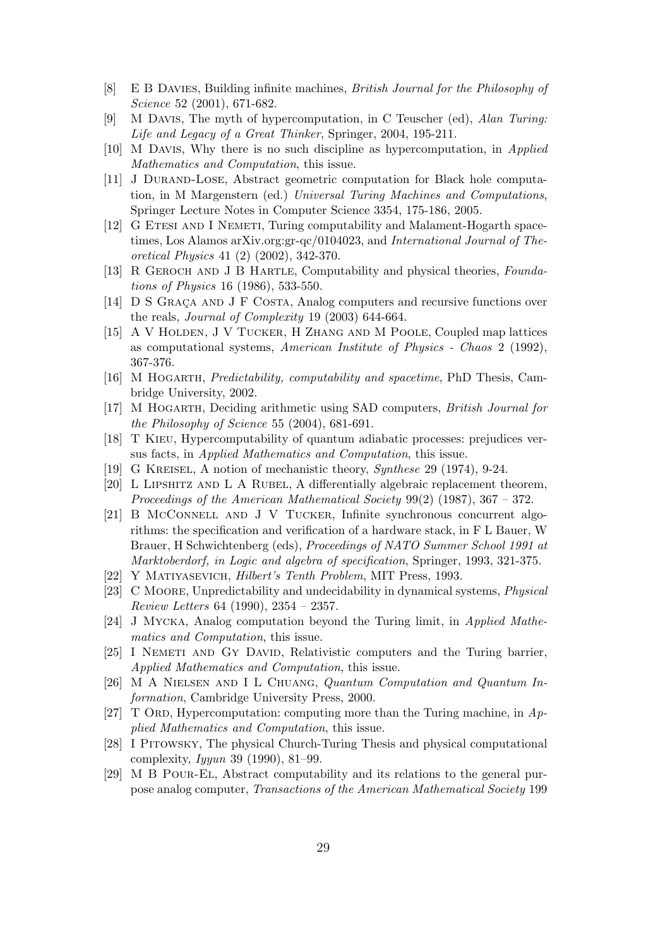- [8] E B Davies, Building infinite machines, British Journal for the Philosophy of Science 52 (2001), 671-682.
- [9] M Davis, The myth of hypercomputation, in C Teuscher (ed), Alan Turing: Life and Legacy of a Great Thinker, Springer, 2004, 195-211.
- [10] M Davis, Why there is no such discipline as hypercomputation, in Applied Mathematics and Computation, this issue.
- [11] J DURAND-LOSE, Abstract geometric computation for Black hole computation, in M Margenstern (ed.) Universal Turing Machines and Computations, Springer Lecture Notes in Computer Science 3354, 175-186, 2005.
- [12] G ETESI AND I NEMETI, Turing computability and Malament-Hogarth spacetimes, Los Alamos arXiv.org:gr-qc/0104023, and International Journal of Theoretical Physics 41 (2) (2002), 342-370.
- [13] R Geroch and J B Hartle, Computability and physical theories, Foundations of Physics 16 (1986), 533-550.
- [14] D S GRAÇA AND J F COSTA, Analog computers and recursive functions over the reals, Journal of Complexity 19 (2003) 644-664.
- [15] A V Holden, J V Tucker, H Zhang and M Poole, Coupled map lattices as computational systems, American Institute of Physics - Chaos 2 (1992), 367-376.
- [16] M Hogarth, Predictability, computability and spacetime, PhD Thesis, Cambridge University, 2002.
- [17] M Hogarth, Deciding arithmetic using SAD computers, British Journal for the Philosophy of Science 55 (2004), 681-691.
- [18] T Kieu, Hypercomputability of quantum adiabatic processes: prejudices versus facts, in Applied Mathematics and Computation, this issue.
- [19] G Kreisel, A notion of mechanistic theory, Synthese 29 (1974), 9-24.
- [20] L LIPSHITZ AND L A RUBEL, A differentially algebraic replacement theorem, Proceedings of the American Mathematical Society 99(2) (1987), 367 – 372.
- [21] B McConnell and J V Tucker, Infinite synchronous concurrent algorithms: the specification and verification of a hardware stack, in F L Bauer, W Brauer, H Schwichtenberg (eds), Proceedings of NATO Summer School 1991 at Marktoberdorf, in Logic and algebra of specification, Springer, 1993, 321-375.
- [22] Y MATIYASEVICH, *Hilbert's Tenth Problem*, MIT Press, 1993.
- [23] C Moore, Unpredictability and undecidability in dynamical systems, Physical Review Letters 64 (1990), 2354 – 2357.
- [24] J Mycka, Analog computation beyond the Turing limit, in Applied Mathematics and Computation, this issue.
- [25] I NEMETI AND GY DAVID, Relativistic computers and the Turing barrier, Applied Mathematics and Computation, this issue.
- [26] M A Nielsen and I L Chuang, Quantum Computation and Quantum Information, Cambridge University Press, 2000.
- [27] T ORD, Hypercomputation: computing more than the Turing machine, in  $Ap$ plied Mathematics and Computation, this issue.
- [28] I PITOWSKY, The physical Church-Turing Thesis and physical computational complexity, Iyyun 39 (1990), 81–99.
- [29] M B Pour-El, Abstract computability and its relations to the general purpose analog computer, Transactions of the American Mathematical Society 199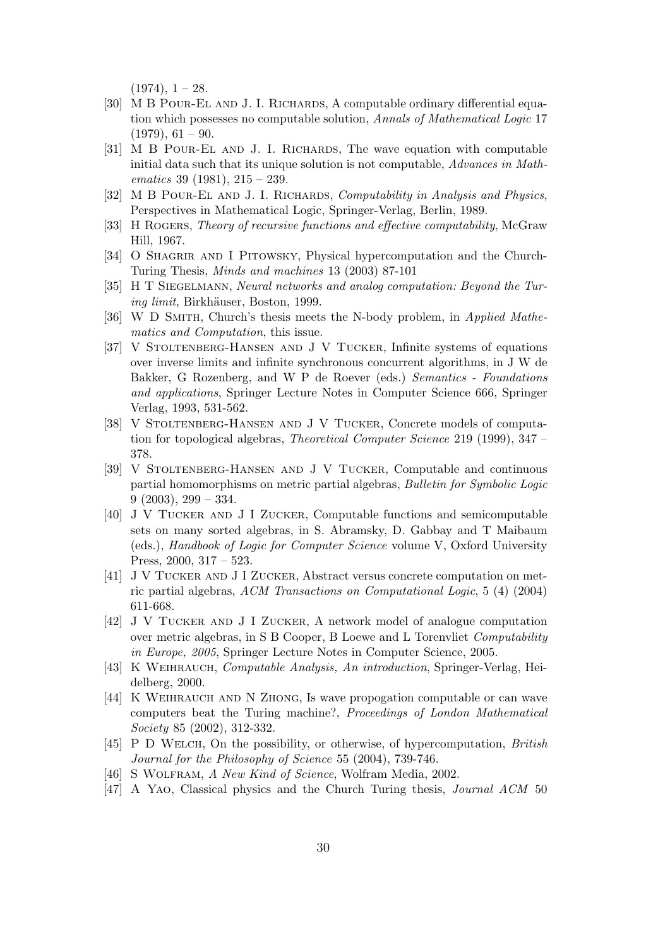$(1974), 1 - 28.$ 

- [30] M B POUR-EL AND J. I. RICHARDS, A computable ordinary differential equation which possesses no computable solution, Annals of Mathematical Logic 17  $(1979), 61 - 90.$
- [31] M B POUR-EL AND J. I. RICHARDS, The wave equation with computable initial data such that its unique solution is not computable, Advances in Mathematics 39 (1981), 215 – 239.
- [32] M B POUR-EL AND J. I. RICHARDS, Computability in Analysis and Physics, Perspectives in Mathematical Logic, Springer-Verlag, Berlin, 1989.
- [33] H ROGERS, Theory of recursive functions and effective computability, McGraw Hill, 1967.
- [34] O SHAGRIR AND I PITOWSKY, Physical hypercomputation and the Church-Turing Thesis, Minds and machines 13 (2003) 87-101
- [35] H T SIEGELMANN, Neural networks and analog computation: Beyond the Turing limit, Birkhäuser, Boston, 1999.
- [36] W D SMITH, Church's thesis meets the N-body problem, in *Applied Mathe*matics and Computation, this issue.
- [37] V Stoltenberg-Hansen and J V Tucker, Infinite systems of equations over inverse limits and infinite synchronous concurrent algorithms, in J W de Bakker, G Rozenberg, and W P de Roever (eds.) Semantics - Foundations and applications, Springer Lecture Notes in Computer Science 666, Springer Verlag, 1993, 531-562.
- [38] V Stoltenberg-Hansen and J V Tucker, Concrete models of computation for topological algebras, Theoretical Computer Science 219 (1999), 347 – 378.
- [39] V Stoltenberg-Hansen and J V Tucker, Computable and continuous partial homomorphisms on metric partial algebras, Bulletin for Symbolic Logic  $9(2003), 299 - 334.$
- [40] J V Tucker and J I Zucker, Computable functions and semicomputable sets on many sorted algebras, in S. Abramsky, D. Gabbay and T Maibaum (eds.), Handbook of Logic for Computer Science volume V, Oxford University Press, 2000, 317 – 523.
- [41] J V TUCKER AND J I ZUCKER, Abstract versus concrete computation on metric partial algebras, ACM Transactions on Computational Logic, 5 (4) (2004) 611-668.
- [42] J V Tucker and J I Zucker, A network model of analogue computation over metric algebras, in S B Cooper, B Loewe and L Torenvliet Computability in Europe, 2005, Springer Lecture Notes in Computer Science, 2005.
- [43] K WEIHRAUCH, *Computable Analysis, An introduction*, Springer-Verlag, Heidelberg, 2000.
- [44] K Weihrauch and N Zhong, Is wave propogation computable or can wave computers beat the Turing machine?, Proceedings of London Mathematical Society 85 (2002), 312-332.
- [45] P D WELCH, On the possibility, or otherwise, of hypercomputation, *British* Journal for the Philosophy of Science 55 (2004), 739-746.
- [46] S WOLFRAM, A New Kind of Science, Wolfram Media, 2002.
- [47] A Yao, Classical physics and the Church Turing thesis, Journal ACM 50